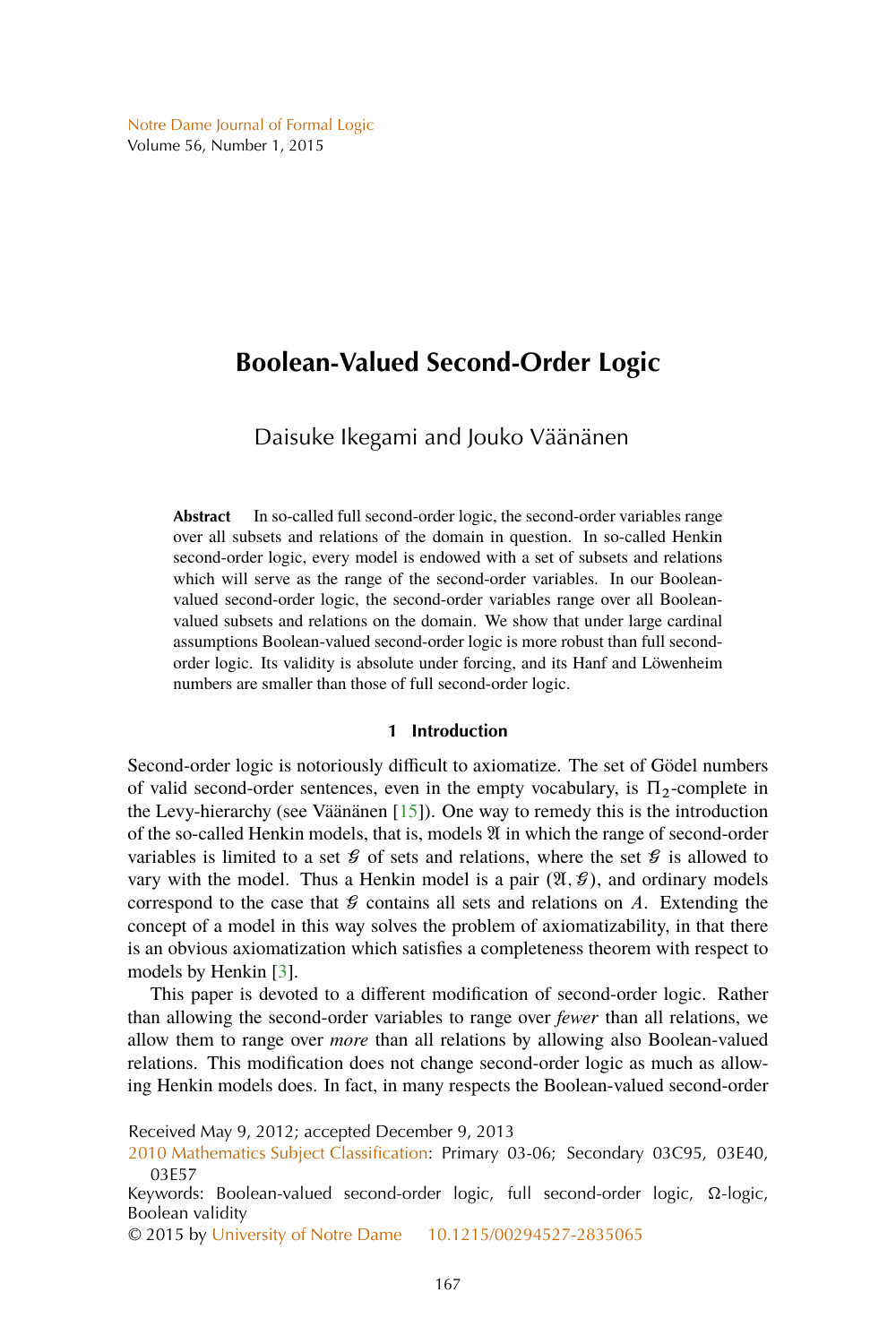# <span id="page-0-0"></span>**Boolean-Valued Second-Order Logic**

Daisuke Ikegami and Jouko Väänänen

**Abstract** In so-called full second-order logic, the second-order variables range over all subsets and relations of the domain in question. In so-called Henkin second-order logic, every model is endowed with a set of subsets and relations which will serve as the range of the second-order variables. In our Booleanvalued second-order logic, the second-order variables range over all Booleanvalued subsets and relations on the domain. We show that under large cardinal assumptions Boolean-valued second-order logic is more robust than full secondorder logic. Its validity is absolute under forcing, and its Hanf and Löwenheim numbers are smaller than those of full second-order logic.

# **1 Introduction**

Second-order logic is notoriously difficult to axiomatize. The set of Gödel numbers of valid second-order sentences, even in the empty vocabulary, is  $\Pi_2$ -complete in the Levy-hierarchy (see Väänänen [\[15\]](#page-22-0)). One way to remedy this is the introduction of the so-called Henkin models, that is, models  $\mathfrak A$  in which the range of second-order variables is limited to a set  $\mathcal G$  of sets and relations, where the set  $\mathcal G$  is allowed to vary with the model. Thus a Henkin model is a pair  $(\mathfrak{A}, \mathcal{G})$ , and ordinary models correspond to the case that  $\mathcal G$  contains all sets and relations on A. Extending the concept of a model in this way solves the problem of axiomatizability, in that there is an obvious axiomatization which satisfies a completeness theorem with respect to models by Henkin [\[3\]](#page-22-0).

This paper is devoted to a different modification of second-order logic. Rather than allowing the second-order variables to range over *fewer* than all relations, we allow them to range over *more* than all relations by allowing also Boolean-valued relations. This modification does not change second-order logic as much as allowing Henkin models does. In fact, in many respects the Boolean-valued second-order

Received May 9, 2012; accepted December 9, 2013

[2010 Mathematics Subject Classification:](http://www.ams.org/mathscinet/msc/msc2010.html) Primary 03-06; Secondary 03C95, 03E40, 03E57

Keywords: Boolean-valued second-order logic, full second-order logic,  $\Omega$ -logic, Boolean validity

© 2015 by [University of Notre Dame](http://www.nd.edu) [10.1215/00294527-2835065](http://dx.doi.org/10.1215/00294527-2835065)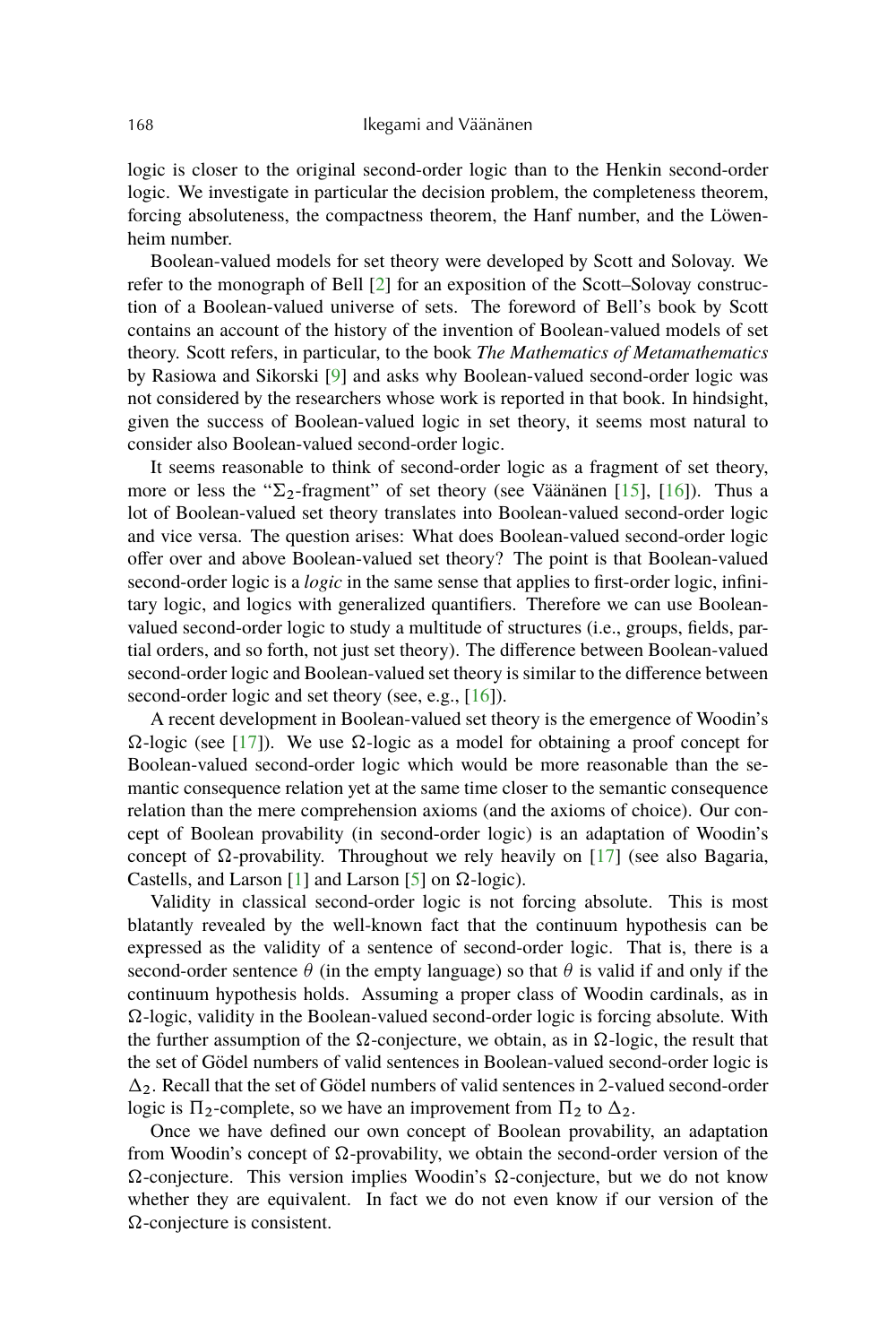<span id="page-1-0"></span>logic is closer to the original second-order logic than to the Henkin second-order logic. We investigate in particular the decision problem, the completeness theorem, forcing absoluteness, the compactness theorem, the Hanf number, and the Löwenheim number.

Boolean-valued models for set theory were developed by Scott and Solovay. We refer to the monograph of Bell [\[2\]](#page-22-0) for an exposition of the Scott–Solovay construction of a Boolean-valued universe of sets. The foreword of Bell's book by Scott contains an account of the history of the invention of Boolean-valued models of set theory. Scott refers, in particular, to the book *The Mathematics of Metamathematics* by Rasiowa and Sikorski [\[9\]](#page-22-0) and asks why Boolean-valued second-order logic was not considered by the researchers whose work is reported in that book. In hindsight, given the success of Boolean-valued logic in set theory, it seems most natural to consider also Boolean-valued second-order logic.

It seems reasonable to think of second-order logic as a fragment of set theory, more or less the " $\Sigma_2$ -fragment" of set theory (see Väänänen [\[15\]](#page-22-0), [\[16\]](#page-22-0)). Thus a lot of Boolean-valued set theory translates into Boolean-valued second-order logic and vice versa. The question arises: What does Boolean-valued second-order logic offer over and above Boolean-valued set theory? The point is that Boolean-valued second-order logic is a *logic* in the same sense that applies to first-order logic, infinitary logic, and logics with generalized quantifiers. Therefore we can use Booleanvalued second-order logic to study a multitude of structures (i.e., groups, fields, partial orders, and so forth, not just set theory). The difference between Boolean-valued second-order logic and Boolean-valued set theory is similar to the difference between second-order logic and set theory (see, e.g., [\[16\]](#page-22-0)).

A recent development in Boolean-valued set theory is the emergence of Woodin's  $\Omega$ -logic (see [\[17\]](#page-22-0)). We use  $\Omega$ -logic as a model for obtaining a proof concept for Boolean-valued second-order logic which would be more reasonable than the semantic consequence relation yet at the same time closer to the semantic consequence relation than the mere comprehension axioms (and the axioms of choice). Our concept of Boolean provability (in second-order logic) is an adaptation of Woodin's concept of  $\Omega$ -provability. Throughout we rely heavily on [\[17\]](#page-22-0) (see also Bagaria, Castells, and Larson [\[1\]](#page-21-0) and Larson [\[5\]](#page-22-0) on  $\Omega$ -logic).

Validity in classical second-order logic is not forcing absolute. This is most blatantly revealed by the well-known fact that the continuum hypothesis can be expressed as the validity of a sentence of second-order logic. That is, there is a second-order sentence  $\theta$  (in the empty language) so that  $\theta$  is valid if and only if the continuum hypothesis holds. Assuming a proper class of Woodin cardinals, as in  $\Omega$ -logic, validity in the Boolean-valued second-order logic is forcing absolute. With the further assumption of the  $\Omega$ -conjecture, we obtain, as in  $\Omega$ -logic, the result that the set of Gödel numbers of valid sentences in Boolean-valued second-order logic is  $\Delta_2$ . Recall that the set of Gödel numbers of valid sentences in 2-valued second-order logic is  $\Pi_2$ -complete, so we have an improvement from  $\Pi_2$  to  $\Delta_2$ .

Once we have defined our own concept of Boolean provability, an adaptation from Woodin's concept of  $\Omega$ -provability, we obtain the second-order version of the  $\Omega$ -conjecture. This version implies Woodin's  $\Omega$ -conjecture, but we do not know whether they are equivalent. In fact we do not even know if our version of the  $\Omega$ -conjecture is consistent.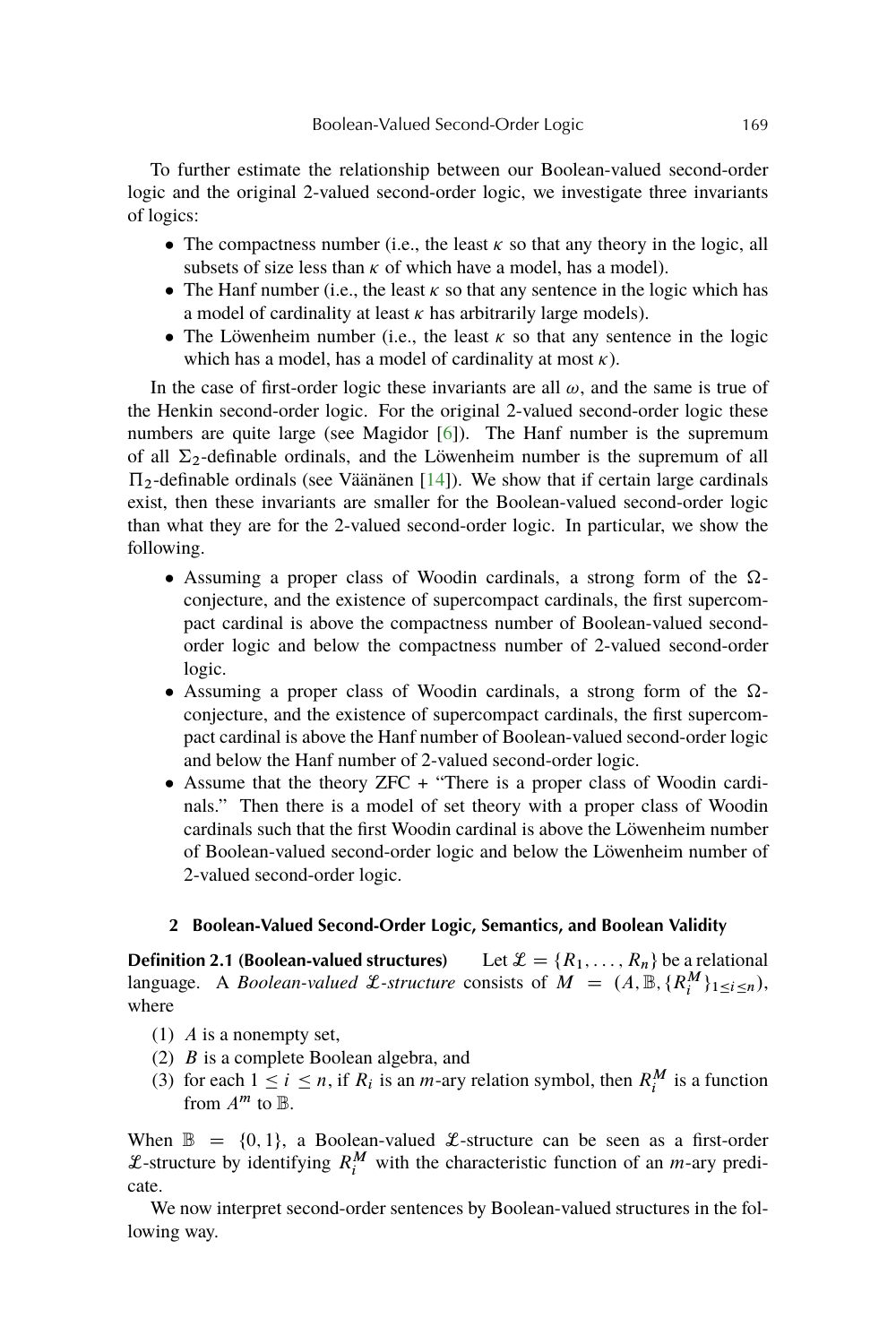<span id="page-2-0"></span>To further estimate the relationship between our Boolean-valued second-order logic and the original 2-valued second-order logic, we investigate three invariants of logics:

- The compactness number (i.e., the least  $\kappa$  so that any theory in the logic, all subsets of size less than  $\kappa$  of which have a model, has a model).
- The Hanf number (i.e., the least  $\kappa$  so that any sentence in the logic which has a model of cardinality at least  $\kappa$  has arbitrarily large models).
- The Löwenheim number (i.e., the least  $\kappa$  so that any sentence in the logic which has a model, has a model of cardinality at most  $\kappa$ ).

In the case of first-order logic these invariants are all  $\omega$ , and the same is true of the Henkin second-order logic. For the original 2-valued second-order logic these numbers are quite large (see Magidor [\[6\]](#page-22-0)). The Hanf number is the supremum of all  $\Sigma_2$ -definable ordinals, and the Löwenheim number is the supremum of all  $\Pi_2$ -definable ordinals (see Väänänen [\[14\]](#page-22-0)). We show that if certain large cardinals exist, then these invariants are smaller for the Boolean-valued second-order logic than what they are for the 2-valued second-order logic. In particular, we show the following.

- Assuming a proper class of Woodin cardinals, a strong form of the  $\Omega$ conjecture, and the existence of supercompact cardinals, the first supercompact cardinal is above the compactness number of Boolean-valued secondorder logic and below the compactness number of 2-valued second-order logic.
- Assuming a proper class of Woodin cardinals, a strong form of the  $\Omega$ conjecture, and the existence of supercompact cardinals, the first supercompact cardinal is above the Hanf number of Boolean-valued second-order logic and below the Hanf number of 2-valued second-order logic.
- Assume that the theory ZFC + "There is a proper class of Woodin cardinals." Then there is a model of set theory with a proper class of Woodin cardinals such that the first Woodin cardinal is above the Löwenheim number of Boolean-valued second-order logic and below the Löwenheim number of 2-valued second-order logic.

# **2 Boolean-Valued Second-Order Logic, Semantics, and Boolean Validity**

**Definition 2.1 (Boolean-valued structures)** Let  $\mathcal{L} = \{R_1, \ldots, R_n\}$  be a relational language. A *Boolean-valued L-structure* consists of  $M = (A, \mathbb{B}, \{R_i^M\}_{1 \leq i \leq n})$ , where

- (1) A is a nonempty set,
- (2) B is a complete Boolean algebra, and
- (3) for each  $1 \le i \le n$ , if  $R_i$  is an *m*-ary relation symbol, then  $R_i^M$  is a function from  $A^m$  to  $\mathbb{B}$ .

When  $\mathbb{B} = \{0, 1\}$ , a Boolean-valued *L*-structure can be seen as a first-order L-structure by identifying  $R_i^M$  with the characteristic function of an *m*-ary predicate.

We now interpret second-order sentences by Boolean-valued structures in the following way.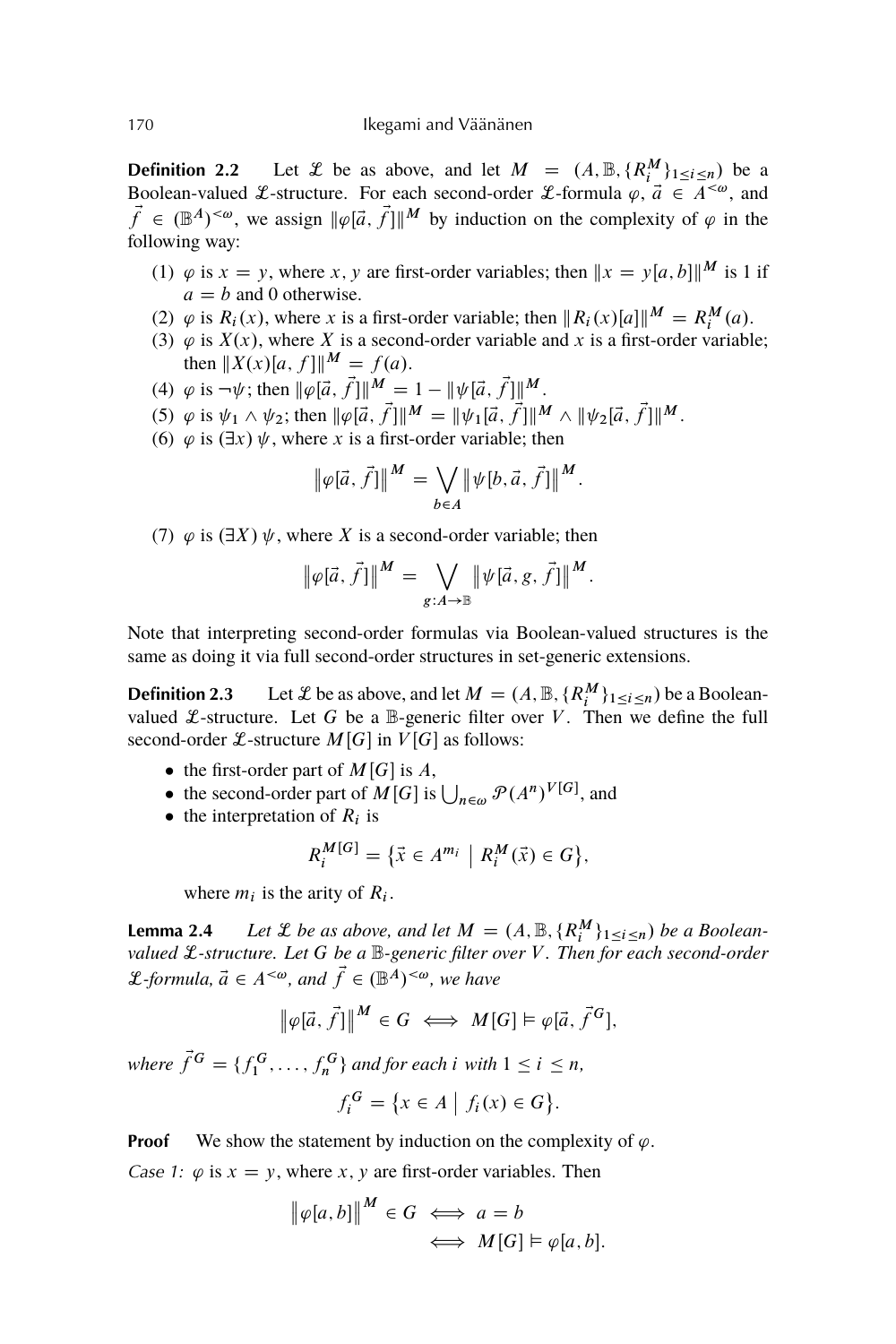<span id="page-3-0"></span>**Definition 2.2** Let *L* be as above, and let  $M = (A, \mathbb{B}, \{R_i^M\}_{1 \leq i \leq n})$  be a Boolean-valued *L*-structure. For each second-order *L*-formula  $\varphi$ ,  $\vec{a} \in \overline{A}^{<\omega}$ , and  $\vec{f} \in (\mathbb{B}^A)^{<\omega}$ , we assign  $\|\varphi[\vec{a}, \vec{f}]\|^M$  by induction on the complexity of  $\varphi$  in the following way:

- (1)  $\varphi$  is  $x = y$ , where x, y are first-order variables; then  $||x = y[a, b]]^M$  is 1 if  $a = b$  and 0 otherwise.
- (2)  $\varphi$  is  $R_i(x)$ , where x is a first-order variable; then  $\|R_i(x)[a]\|^M = R_i^M(a)$ .
- (2)  $\varphi$  is  $K_l(x)$ , where X is a first-order variable, then  $\|K_l(x)\mu\|$  =  $K_l$  (*a*).<br>(3)  $\varphi$  is  $X(x)$ , where X is a second-order variable and x is a first-order variable; then  $||X(x)|a, f||^{M} = f(a)$ .
- (4)  $\varphi$  is  $\neg \psi$ ; then  $\|\varphi[\vec{a}, \vec{f}] \|^{M} = 1 \| \psi[\vec{a}, \vec{f}] \|^{M}$ .
- (5)  $\varphi$  is  $\psi_1 \wedge \psi_2$ ; then  $\|\varphi\{\vec{a}, \vec{f}\}\|^M = \|\psi_1[\vec{a}, \vec{f}]\|^M \wedge \|\psi_2[\vec{a}, \vec{f}]\|^M$ .
- (6)  $\varphi$  is  $(\exists x)$   $\psi$ , where x is a first-order variable; then

$$
\|\varphi[\vec{a}, \vec{f}] \|^{M} = \bigvee_{b \in A} \|\psi[b, \vec{a}, \vec{f}]\|^{M}.
$$

(7)  $\varphi$  is  $(\exists X) \psi$ , where X is a second-order variable; then

$$
\|\varphi[\vec{a}, \vec{f}] \|^{M} = \bigvee_{g:A \to \mathbb{B}} \|\psi[\vec{a}, g, \vec{f}] \|^{M}.
$$

Note that interpreting second-order formulas via Boolean-valued structures is the same as doing it via full second-order structures in set-generic extensions.

**Definition 2.3** Let *L* be as above, and let  $M = (A, \mathbb{B}, \{R_i^M\}_{1 \le i \le n})$  be a Booleanvalued  $\mathcal{L}$ -structure. Let G be a  $\mathbb{B}$ -generic filter over V. Then we define the full second-order  $\mathcal{L}$ -structure  $M[G]$  in  $V[G]$  as follows:

- the first-order part of  $M[G]$  is A,
- the second-order part of  $M[G]$  is  $\bigcup_{n \in \omega} \mathcal{P}(A^n)^{V[G]}$ , and
- the interpretation of  $R_i$  is

$$
R_i^{M[G]} = \left\{ \vec{x} \in A^{m_i} \middle| R_i^M(\vec{x}) \in G \right\},\
$$

where  $m_i$  is the arity of  $R_i$ .

**Lemma 2.4** *Let*  $\mathcal{L}$  *be as above, and let*  $M = (A, \mathbb{B}, \{R_i^M\}_{1 \leq i \leq n})$  *be a Booleanvalued* L*-structure. Let* G *be a* B*-generic filter over* V *. Then for each second-order L*-formula,  $\vec{a} \in A^{<\omega}$ , and  $\vec{f} \in (\mathbb{B}^{\tilde{A}})^{<\omega}$ , we have

$$
\|\varphi[\vec{a}, \vec{f}] \|^{M} \in G \iff M[G] \vDash \varphi[\vec{a}, \vec{f}^{G}],
$$

where  $\vec{f}^G = \{f_1^G, \ldots, f_n^G\}$  and for each i with  $1 \leq i \leq n$ ,

$$
f_i^G = \{ x \in A \mid f_i(x) \in G \}.
$$

**Proof** We show the statement by induction on the complexity of  $\varphi$ . Case 1:  $\varphi$  is  $x = y$ , where x, y are first-order variables. Then

$$
\|\varphi[a,b]\|^M \in G \iff a = b
$$
  

$$
\iff M[G] \vDash \varphi[a,b].
$$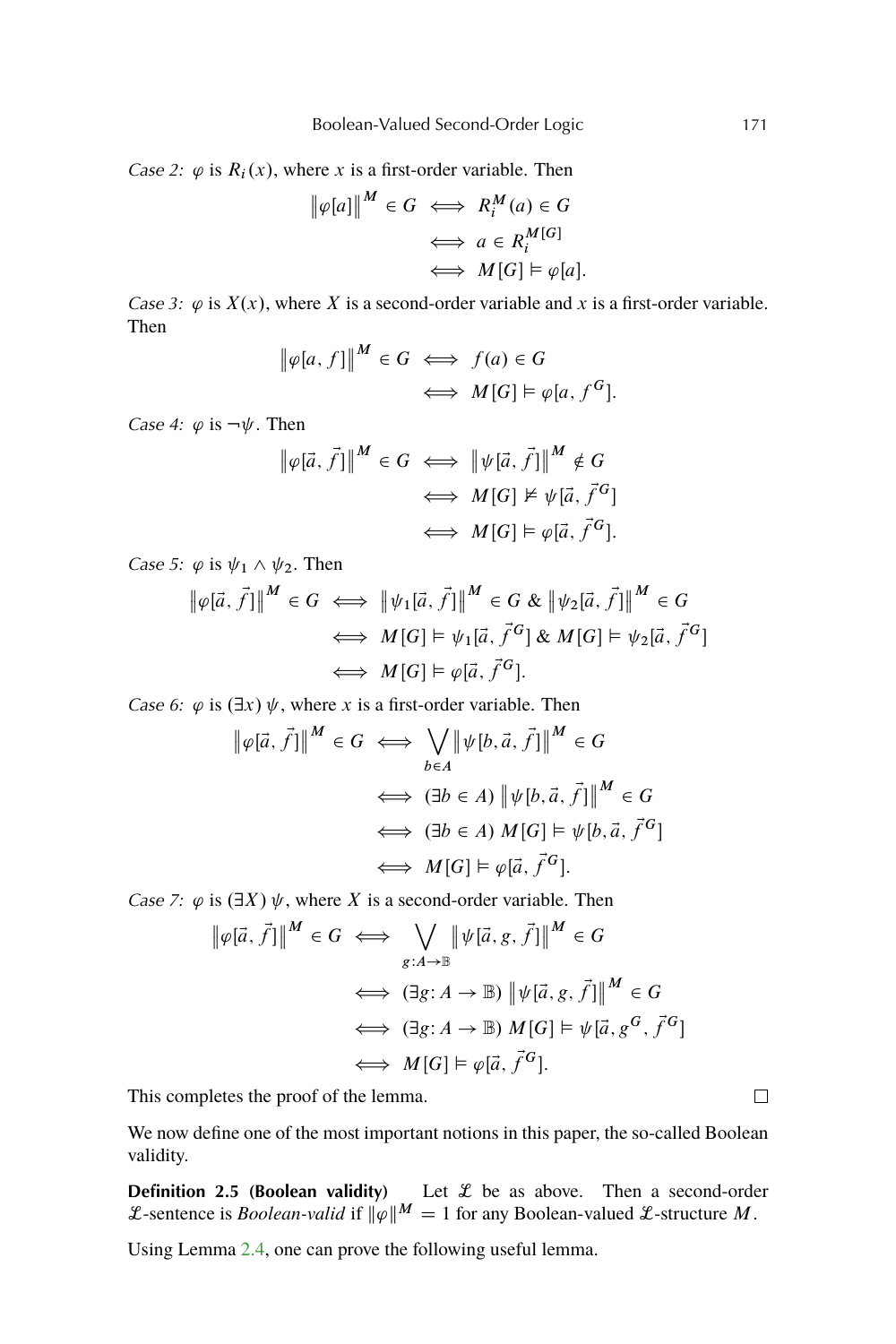<span id="page-4-0"></span>Case 2:  $\varphi$  is  $R_i(x)$ , where x is a first-order variable. Then

$$
\|\varphi[a]\|^{M} \in G \iff R_i^M(a) \in G
$$

$$
\iff a \in R_i^{M[G]}
$$

$$
\iff M[G] \models \varphi[a].
$$

Case 3:  $\varphi$  is  $X(x)$ , where X is a second-order variable and x is a first-order variable. Then

$$
\|\varphi[a, f]\|^{M} \in G \iff f(a) \in G
$$
  

$$
\iff M[G] \models \varphi[a, f^{G}].
$$

Case 4:  $\varphi$  is  $\neg \psi$ . Then

$$
\begin{aligned} \left\| \varphi[\vec{a}, \vec{f}] \right\|^{M} &\in G \iff \left\| \psi[\vec{a}, \vec{f}] \right\|^{M} \notin G \\ &\iff M[G] \nvDash \psi[\vec{a}, \vec{f}^{G}] \\ &\iff M[G] \vDash \varphi[\vec{a}, \vec{f}^{G}]. \end{aligned}
$$

Case 5:  $\varphi$  is  $\psi_1 \wedge \psi_2$ . Then

$$
\|\varphi[\vec{a}, \vec{f}]\|^{M} \in G \iff \|\psi_1[\vec{a}, \vec{f}]\|^{M} \in G \& \|\psi_2[\vec{a}, \vec{f}]\|^{M} \in G
$$
  

$$
\iff M[G] \models \psi_1[\vec{a}, \vec{f}^G] \& M[G] \models \psi_2[\vec{a}, \vec{f}^G]
$$
  

$$
\iff M[G] \models \varphi[\vec{a}, \vec{f}^G].
$$

Case 6:  $\varphi$  is  $(\exists x)\psi$ , where x is a first-order variable. Then

$$
\|\varphi[\vec{a}, \vec{f}]\|^{M} \in G \iff \bigvee_{b \in A} \|\psi[b, \vec{a}, \vec{f}]\|^{M} \in G
$$
  

$$
\iff (\exists b \in A) \|\psi[b, \vec{a}, \vec{f}]\|^{M} \in G
$$
  

$$
\iff (\exists b \in A) M[G] \models \psi[b, \vec{a}, \vec{f}^{G}]
$$
  

$$
\iff M[G] \models \varphi[\vec{a}, \vec{f}^{G}].
$$

Case 7:  $\varphi$  is  $(\exists X)$   $\psi$ , where X is a second-order variable. Then

$$
\|\varphi[\vec{a}, \vec{f}]\|^{M} \in G \iff \bigvee_{g:A \to \mathbb{B}} \|\psi[\vec{a}, g, \vec{f}]\|^{M} \in G
$$
  

$$
\iff (\exists g:A \to \mathbb{B}) \|\psi[\vec{a}, g, \vec{f}]\|^{M} \in G
$$
  

$$
\iff (\exists g:A \to \mathbb{B}) M[G] \models \psi[\vec{a}, g^{G}, \vec{f}^{G}]
$$
  

$$
\iff M[G] \models \varphi[\vec{a}, \vec{f}^{G}].
$$

This completes the proof of the lemma.

We now define one of the most important notions in this paper, the so-called Boolean validity.

**Definition 2.5 (Boolean validity)** Let  $\mathcal{L}$  be as above. Then a second-order L-sentence is *Boolean-valid* if  $\|\varphi\|^M = 1$  for any Boolean-valued L-structure M.

Using Lemma [2.4,](#page-3-0) one can prove the following useful lemma.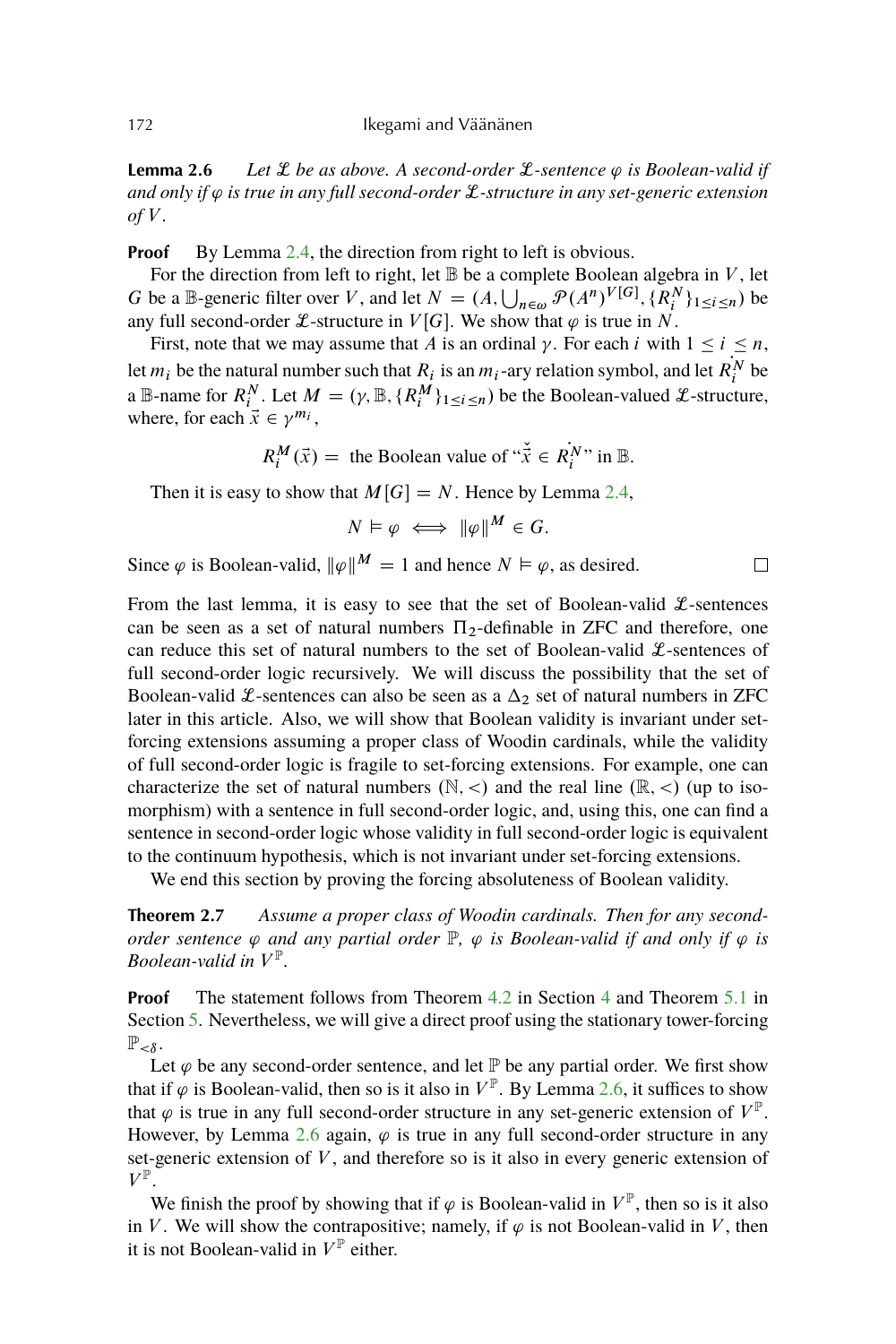<span id="page-5-0"></span>**Lemma 2.6** *Let*  $\mathcal L$  *be as above. A second-order*  $\mathcal L$ -sentence  $\varphi$  *is Boolean-valid if and only if*  $\varphi$  *is true in any full second-order L*-structure *in any set-generic extension*  $of V$ .

**Proof** By Lemma [2.4,](#page-3-0) the direction from right to left is obvious.

For the direction from left to right, let  $\mathbb B$  be a complete Boolean algebra in V, let G be a B-generic filter over V, and let  $N = (A, \bigcup_{n \in \omega} \mathcal{P}(A^n)^{V[G]}, \{R_i^N\}_{1 \le i \le n})$  be any full second-order *L*-structure in  $V[G]$ . We show that  $\varphi$  is true in N.

First, note that we may assume that A is an ordinal  $\gamma$ . For each i with  $1 \le i \le n$ , let  $m_i$  be the natural number such that  $R_i$  is an  $m_i$ -ary relation symbol, and let  $R_i^N$  be a B-name for  $R_i^N$ . Let  $M = (\gamma, \mathbb{B}, \{R_i^M\}_{1 \leq i \leq n})$  be the Boolean-valued *L*-structure, where, for each  $\vec{x} \in \gamma^{m_i}$ ,

 $R_i^M(\vec{x}) =$  the Boolean value of " $\vec{\dot{x}} \in \dot{R_i^N}$ " in B.

Then it is easy to show that  $M[G] = N$ . Hence by Lemma [2.4,](#page-3-0)

$$
N \vDash \varphi \iff \|\varphi\|^M \in G.
$$

Since  $\varphi$  is Boolean-valid,  $\|\varphi\|^M = 1$  and hence  $N \vDash \varphi$ , as desired.

From the last lemma, it is easy to see that the set of Boolean-valid  $\mathcal{L}$ -sentences can be seen as a set of natural numbers  $\Pi_2$ -definable in ZFC and therefore, one can reduce this set of natural numbers to the set of Boolean-valid  $\mathcal{L}$ -sentences of full second-order logic recursively. We will discuss the possibility that the set of Boolean-valid £-sentences can also be seen as a  $\Delta_2$  set of natural numbers in ZFC later in this article. Also, we will show that Boolean validity is invariant under setforcing extensions assuming a proper class of Woodin cardinals, while the validity of full second-order logic is fragile to set-forcing extensions. For example, one can characterize the set of natural numbers  $(N, <)$  and the real line  $(\mathbb{R}, <)$  (up to isomorphism) with a sentence in full second-order logic, and, using this, one can find a sentence in second-order logic whose validity in full second-order logic is equivalent to the continuum hypothesis, which is not invariant under set-forcing extensions.

We end this section by proving the forcing absoluteness of Boolean validity.

**Theorem 2.7** *Assume a proper class of Woodin cardinals. Then for any secondorder sentence*  $\varphi$  *and any partial order*  $\mathbb{P}$ *,*  $\varphi$  *is Boolean-valid if and only if*  $\varphi$  *is Boolean-valid in* V P *.*

**Proof** The statement follows from Theorem [4.2](#page-7-0) in Section [4](#page-7-0) and Theorem [5.1](#page-7-0) in Section [5.](#page-7-0) Nevertheless, we will give a direct proof using the stationary tower-forcing  $\mathbb{P}_{< \delta}$ .

Let  $\varphi$  be any second-order sentence, and let  $\mathbb P$  be any partial order. We first show that if  $\varphi$  is Boolean-valid, then so is it also in  $V^{\mathbb{P}}$ . By Lemma [2.6,](#page-4-0) it suffices to show that  $\varphi$  is true in any full second-order structure in any set-generic extension of  $V^{\mathbb{P}}$ . However, by Lemma [2.6](#page-4-0) again,  $\varphi$  is true in any full second-order structure in any set-generic extension of  $V$ , and therefore so is it also in every generic extension of  $V^{\mathbb{P}}.$ 

We finish the proof by showing that if  $\varphi$  is Boolean-valid in  $V^{\mathbb{P}}$ , then so is it also in V. We will show the contrapositive; namely, if  $\varphi$  is not Boolean-valid in V, then it is not Boolean-valid in  $V^{\mathbb{P}}$  either.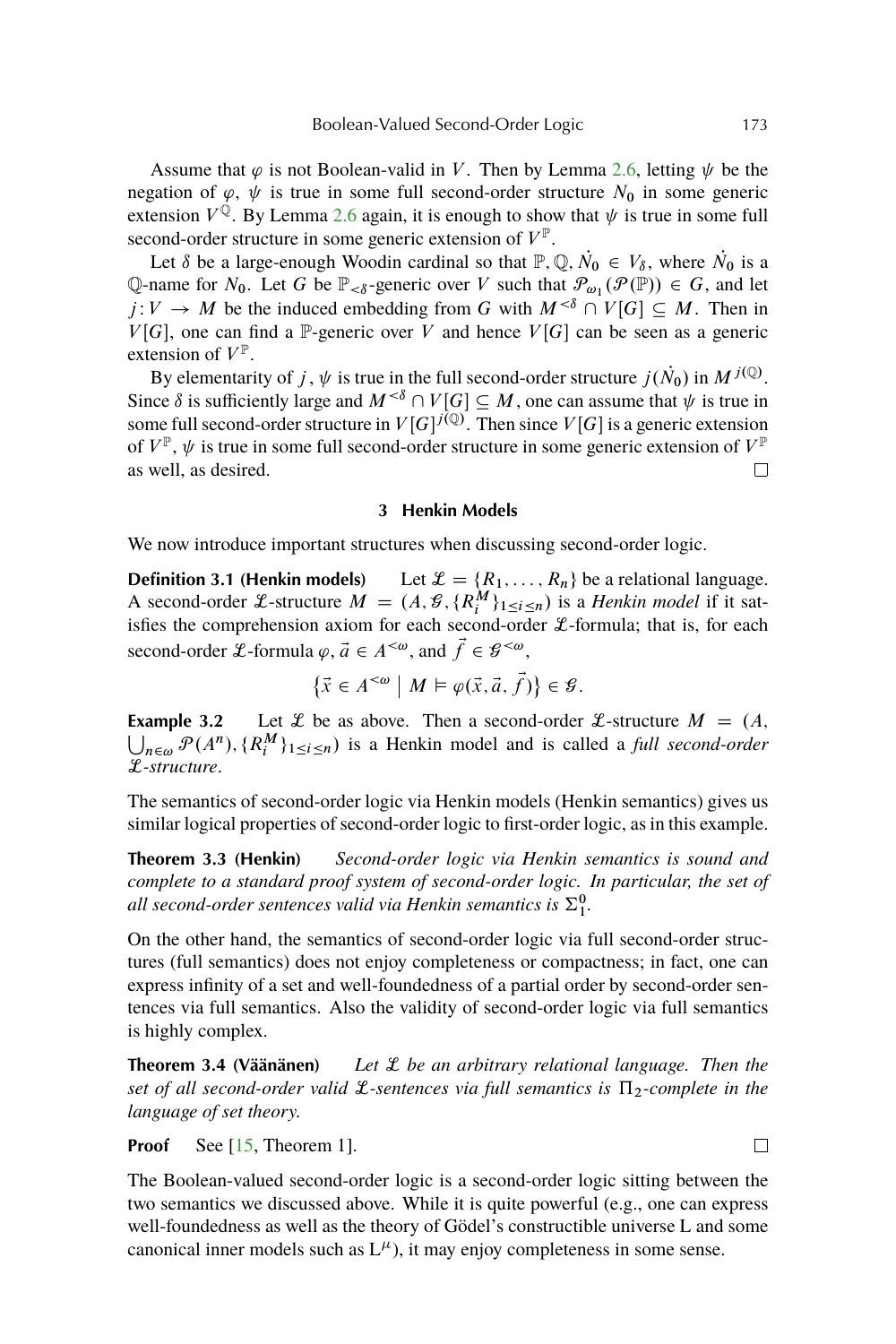<span id="page-6-0"></span>Assume that  $\varphi$  is not Boolean-valid in V. Then by Lemma [2.6,](#page-4-0) letting  $\psi$  be the negation of  $\varphi$ ,  $\psi$  is true in some full second-order structure  $N_0$  in some generic extension  $V^{\hat{Q}}$ . By Lemma [2.6](#page-4-0) again, it is enough to show that  $\psi$  is true in some full second-order structure in some generic extension of  $V^{\mathbb{P}}$ .

Let  $\delta$  be a large-enough Woodin cardinal so that  $\mathbb{P}, \mathbb{Q}, N_0 \in V_{\delta}$ , where  $N_0$  is a Q-name for  $N_0$ . Let G be  $\mathbb{P}_{< \delta}$ -generic over V such that  $\mathcal{P}_{\omega_1}(\mathcal{P}(\mathbb{P})) \in G$ , and let  $j: V \to M$  be the induced embedding from G with  $M^{<\delta} \cap V[G] \subseteq M$ . Then in  $V[G]$ , one can find a P-generic over V and hence  $V[G]$  can be seen as a generic extension of  $V^{\mathbb{P}}$ .

By elementarity of j,  $\psi$  is true in the full second-order structure  $j(\dot{N}_0)$  in  $M^{j(\mathbb{Q})}$ . Since  $\delta$  is sufficiently large and  $M^{<\delta} \cap V[G] \subseteq M$ , one can assume that  $\psi$  is true in some full second-order structure in  $V[G]^{j(\mathbb{Q})}$ . Then since  $V[G]$  is a generic extension of  $V^{\mathbb{P}}, \psi$  is true in some full second-order structure in some generic extension of  $V^{\mathbb{P}}$ as well, as desired.  $\Box$ 

#### **3 Henkin Models**

We now introduce important structures when discussing second-order logic.

**Definition 3.1 (Henkin models)** Let  $\mathcal{L} = \{R_1, \ldots, R_n\}$  be a relational language. A second-order *L*-structure  $M = (A, \mathcal{G}, \{R_i^M\}_{1 \leq i \leq n})$  is a *Henkin model* if it satisfies the comprehension axiom for each second-order  $\mathcal{L}$ -formula; that is, for each second-order  $\mathcal{L}$ -formula  $\varphi$ ,  $\vec{a} \in A^{<\omega}$ , and  $\vec{f} \in \mathcal{G}^{<\omega}$ ,

$$
\left\{ \vec{x} \in A^{<\omega} \ \middle| \ M \vDash \varphi(\vec{x}, \vec{a}, \vec{f}) \right\} \in \mathcal{G}.
$$

**Example 3.2** Let  $\mathcal{L}$  be as above. Then a second-order  $\mathcal{L}$ -structure  $M = (A,$  $\bigcup_{n \in \omega} \mathcal{P}(A^n), \{R_i^M\}_{1 \leq i \leq n}$  is a Henkin model and is called a *full second-order* L*-structure*.

The semantics of second-order logic via Henkin models (Henkin semantics) gives us similar logical properties of second-order logic to first-order logic, as in this example.

**Theorem 3.3 (Henkin)** *Second-order logic via Henkin semantics is sound and complete to a standard proof system of second-order logic. In particular, the set of* all second-order sentences valid via Henkin semantics is  $\Sigma^0_1$ .

On the other hand, the semantics of second-order logic via full second-order structures (full semantics) does not enjoy completeness or compactness; in fact, one can express infinity of a set and well-foundedness of a partial order by second-order sentences via full semantics. Also the validity of second-order logic via full semantics is highly complex.

**Theorem 3.4 (Väänänen)** *Let* L *be an arbitrary relational language. Then the set of all second-order valid*  $\mathcal{L}$ *-sentences via full semantics is*  $\Pi_2$ -complete in the *language of set theory.*

**Proof** See [\[15,](#page-22-0) Theorem 1].

The Boolean-valued second-order logic is a second-order logic sitting between the two semantics we discussed above. While it is quite powerful (e.g., one can express well-foundedness as well as the theory of Gödel's constructible universe L and some canonical inner models such as  $L^{\mu}$ ), it may enjoy completeness in some sense.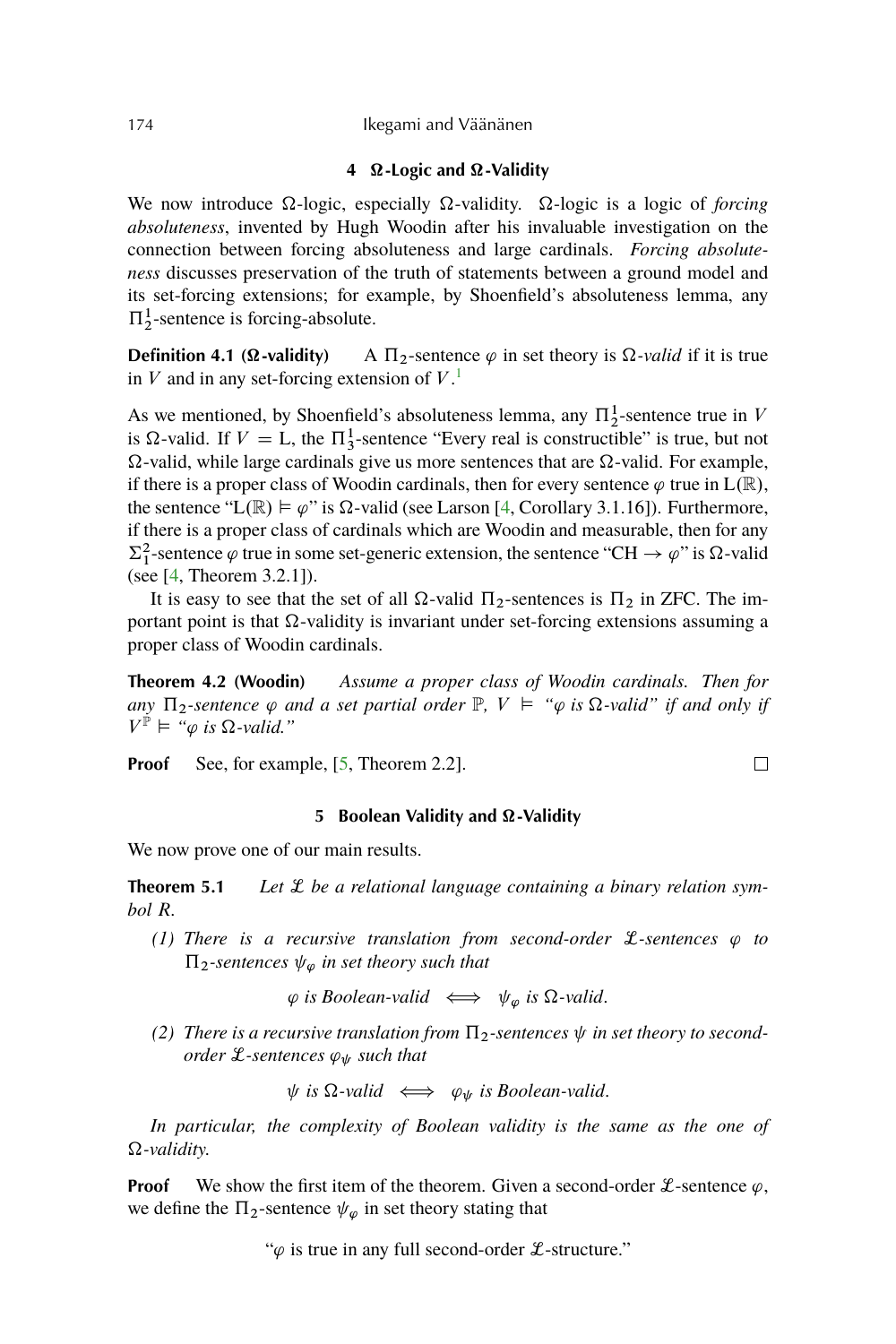#### **4**  $\Omega$ -Logic and  $\Omega$ -Validity

<span id="page-7-0"></span>We now introduce  $\Omega$ -logic, especially  $\Omega$ -validity.  $\Omega$ -logic is a logic of *forcing absoluteness*, invented by Hugh Woodin after his invaluable investigation on the connection between forcing absoluteness and large cardinals. *Forcing absoluteness* discusses preservation of the truth of statements between a ground model and its set-forcing extensions; for example, by Shoenfield's absoluteness lemma, any  $\Pi_2^1$ -sentence is forcing-absolute.

**Definition 4.1 (** $\Omega$ **-validity)** A  $\Pi_2$ -sentence  $\varphi$  in set theory is  $\Omega$ -valid if it is true in  $V$  and in any set-forcing extension of  $V<sup>1</sup>$  $V<sup>1</sup>$  $V<sup>1</sup>$ .

As we mentioned, by Shoenfield's absoluteness lemma, any  $\Pi_2^1$ -sentence true in V is  $\Omega$ -valid. If  $V = L$ , the  $\Pi_3^1$ -sentence "Every real is constructible" is true, but not  $\Omega$ -valid, while large cardinals give us more sentences that are  $\Omega$ -valid. For example, if there is a proper class of Woodin cardinals, then for every sentence  $\varphi$  true in  $L(\mathbb{R})$ , the sentence "L( $\mathbb{R}$ )  $\models \varphi$ " is  $\Omega$ -valid (see Larson [\[4,](#page-22-0) Corollary 3.1.16]). Furthermore, if there is a proper class of cardinals which are Woodin and measurable, then for any  $\Sigma_1^2$ -sentence  $\varphi$  true in some set-generic extension, the sentence "CH  $\to \varphi$ " is  $\Omega$ -valid (see [\[4,](#page-22-0) Theorem 3.2.1]).

It is easy to see that the set of all  $\Omega$ -valid  $\Pi_2$ -sentences is  $\Pi_2$  in ZFC. The important point is that  $\Omega$ -validity is invariant under set-forcing extensions assuming a proper class of Woodin cardinals.

**Theorem 4.2 (Woodin)** *Assume a proper class of Woodin cardinals. Then for* any  $\Pi_2$ -sentence  $\varphi$  and a set partial order  $\mathbb{P}$ ,  $V \models \varphi$  is  $\Omega$ -valid" if and only if  $V^{\mathbb{P}} \models \mathbb{I}_{\varphi}$  is  $\Omega$ -valid."

**Proof** See, for example, [\[5,](#page-22-0) Theorem 2.2].

#### **5** Boolean Validity and  $\Omega$ -Validity

 $\Box$ 

We now prove one of our main results.

**Theorem 5.1** Let  $\mathcal{L}$  be a relational language containing a binary relation sym*bol* R*.*

*(1) There is a recursive translation from second-order*  $\mathcal{L}$ -sentences  $\varphi$  to  $\Pi_2$ -sentences  $\psi_{\varphi}$  in set theory such that

 $\varphi$  is Boolean-valid  $\iff \psi_{\varphi}$  is  $\Omega$ -valid.

(2) There is a recursive translation from  $\Pi_2$ -sentences  $\psi$  in set theory to second*order*  $\mathcal{L}$ *-sentences*  $\varphi_{\psi}$  *such that* 

 $\psi$  *is*  $\Omega$ -valid  $\iff \varphi_{\psi}$  *is Boolean-valid.* 

*In particular, the complexity of Boolean validity is the same as the one of -validity.*

**Proof** We show the first item of the theorem. Given a second-order  $\mathcal{L}$ -sentence  $\varphi$ , we define the  $\Pi_2$ -sentence  $\psi_{\varphi}$  in set theory stating that

" $\varphi$  is true in any full second-order  $\mathcal{L}$ -structure."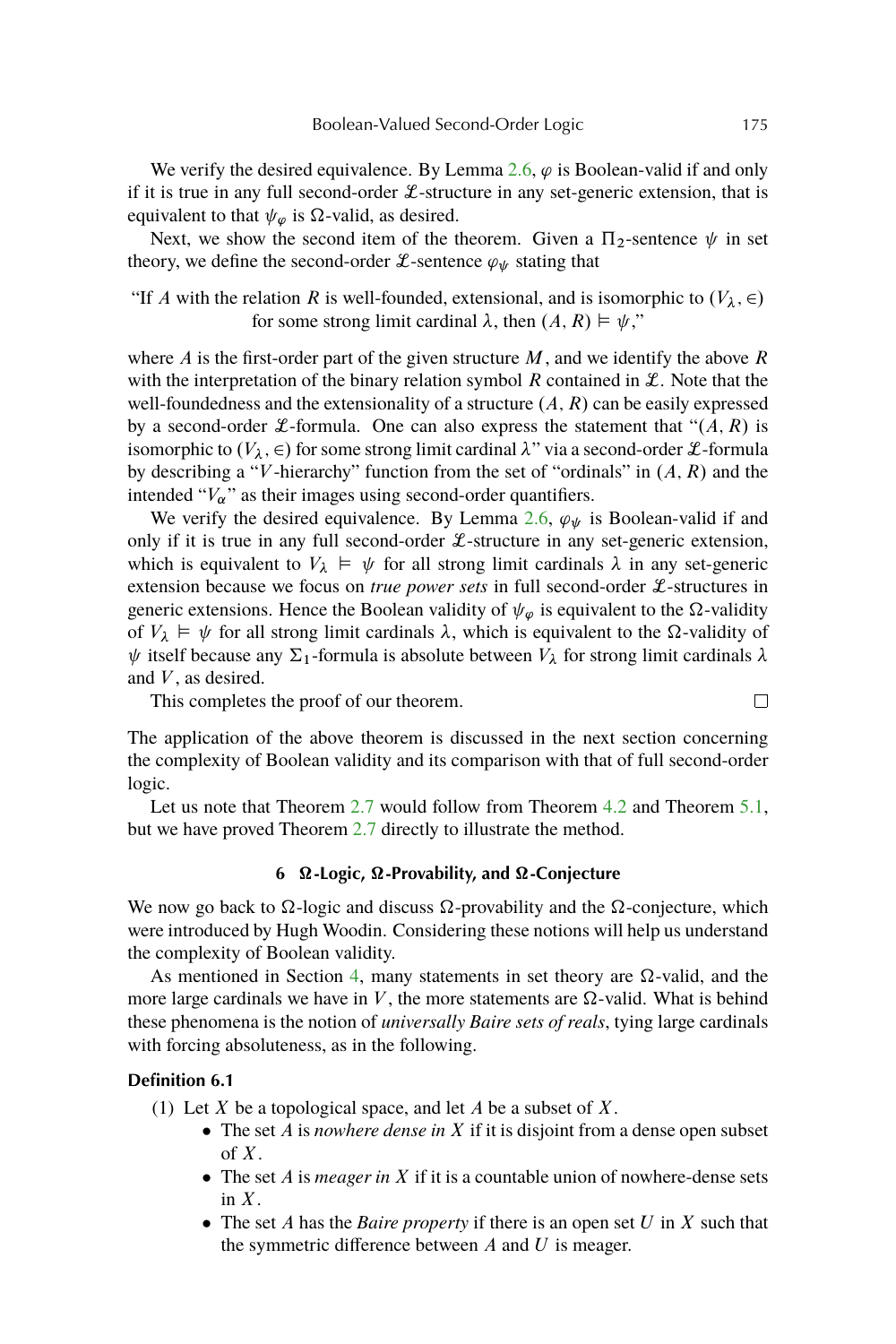We verify the desired equivalence. By Lemma [2.6,](#page-4-0)  $\varphi$  is Boolean-valid if and only if it is true in any full second-order  $L$ -structure in any set-generic extension, that is equivalent to that  $\psi_{\omega}$  is  $\Omega$ -valid, as desired.

Next, we show the second item of the theorem. Given a  $\Pi_2$ -sentence  $\psi$  in set theory, we define the second-order L-sentence  $\varphi_{\psi}$  stating that

"If A with the relation R is well-founded, extensional, and is isomorphic to  $(V_\lambda, \in)$ for some strong limit cardinal  $\lambda$ , then  $(A, R) \models \psi$ ,"

where  $A$  is the first-order part of the given structure  $M$ , and we identify the above  $R$ with the interpretation of the binary relation symbol  $R$  contained in  $\mathcal{L}$ . Note that the well-foundedness and the extensionality of a structure  $(A, R)$  can be easily expressed by a second-order *L*-formula. One can also express the statement that " $(A, R)$  is isomorphic to  $(V_{\lambda}, \in)$  for some strong limit cardinal  $\lambda$ " via a second-order L-formula by describing a "V-hierarchy" function from the set of "ordinals" in  $(A, R)$  and the intended " $V_{\alpha}$ " as their images using second-order quantifiers.

We verify the desired equivalence. By Lemma [2.6,](#page-4-0)  $\varphi_{\psi}$  is Boolean-valid if and only if it is true in any full second-order  $\mathcal{L}$ -structure in any set-generic extension, which is equivalent to  $V_{\lambda} \models \psi$  for all strong limit cardinals  $\lambda$  in any set-generic extension because we focus on *true power sets* in full second-order L-structures in generic extensions. Hence the Boolean validity of  $\psi_{\varphi}$  is equivalent to the  $\Omega$ -validity of  $V_{\lambda} \models \psi$  for all strong limit cardinals  $\lambda$ , which is equivalent to the  $\Omega$ -validity of  $\psi$  itself because any  $\Sigma_1$ -formula is absolute between  $V_\lambda$  for strong limit cardinals  $\lambda$ and  $V$ , as desired.

This completes the proof of our theorem.

The application of the above theorem is discussed in the next section concerning the complexity of Boolean validity and its comparison with that of full second-order logic.

Let us note that Theorem [2.7](#page-5-0) would follow from Theorem [4.2](#page-7-0) and Theorem [5.1,](#page-7-0) but we have proved Theorem [2.7](#page-5-0) directly to illustrate the method.

# **6 -Logic, -Provability, and -Conjecture**

We now go back to  $\Omega$ -logic and discuss  $\Omega$ -provability and the  $\Omega$ -conjecture, which were introduced by Hugh Woodin. Considering these notions will help us understand the complexity of Boolean validity.

As mentioned in Section [4,](#page-7-0) many statements in set theory are  $\Omega$ -valid, and the more large cardinals we have in  $V$ , the more statements are  $\Omega$ -valid. What is behind these phenomena is the notion of *universally Baire sets of reals*, tying large cardinals with forcing absoluteness, as in the following.

#### **Definition 6.1**

- (1) Let  $X$  be a topological space, and let  $A$  be a subset of  $X$ .
	- The set *A* is *nowhere dense in X* if it is disjoint from a dense open subset of  $X$ .
	- The set *A* is *meager in X* if it is a countable union of nowhere-dense sets in  $X$ .
	- The set A has the *Baire property* if there is an open set U in X such that the symmetric difference between  $A$  and  $U$  is meager.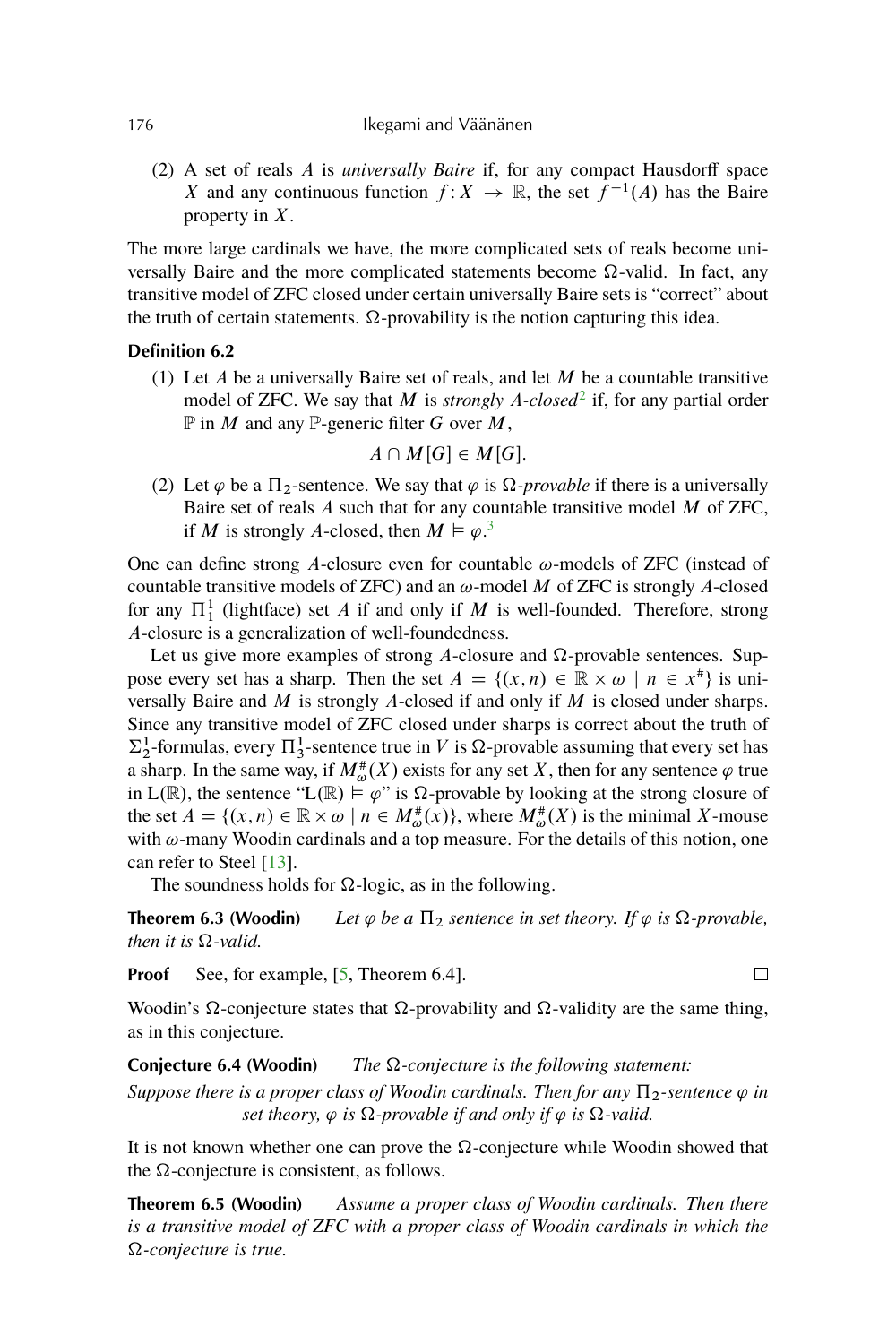(2) A set of reals A is *universally Baire* if, for any compact Hausdorff space X and any continuous function  $f: X \to \mathbb{R}$ , the set  $f^{-1}(A)$  has the Baire property in X.

The more large cardinals we have, the more complicated sets of reals become universally Baire and the more complicated statements become  $\Omega$ -valid. In fact, any transitive model of ZFC closed under certain universally Baire sets is "correct" about the truth of certain statements.  $\Omega$ -provability is the notion capturing this idea.

# **Definition 6.2**

(1) Let  $A$  be a universally Baire set of reals, and let  $M$  be a countable transitive model of ZFC. We say that M is *strongly A-closed*<sup>[2](#page-21-0)</sup> if, for any partial order  $\mathbb P$  in M and any  $\mathbb P$ -generic filter G over M,

$$
A\cap M[G]\in M[G].
$$

(2) Let  $\varphi$  be a  $\Pi_2$ -sentence. We say that  $\varphi$  is  $\Omega$ -provable if there is a universally Baire set of reals  $A$  such that for any countable transitive model  $M$  of ZFC, if M is strongly A-closed, then  $M \vDash \varphi$ .<sup>[3](#page-21-0)</sup>

One can define strong A-closure even for countable  $\omega$ -models of ZFC (instead of countable transitive models of ZFC) and an  $\omega$ -model M of ZFC is strongly A-closed for any  $\Pi_1^1$  (lightface) set A if and only if M is well-founded. Therefore, strong A-closure is a generalization of well-foundedness.

Let us give more examples of strong A-closure and  $\Omega$ -provable sentences. Suppose every set has a sharp. Then the set  $A = \{(x, n) \in \mathbb{R} \times \omega \mid n \in x^* \}$  is universally Baire and  $M$  is strongly A-closed if and only if  $M$  is closed under sharps. Since any transitive model of ZFC closed under sharps is correct about the truth of  $\Sigma_2^1$ -formulas, every  $\Pi_3^1$ -sentence true in V is  $\Omega$ -provable assuming that every set has a sharp. In the same way, if  $M^{\#}_{\omega}(X)$  exists for any set X, then for any sentence  $\varphi$  true in L(R), the sentence "L(R)  $\models \varphi$ " is  $\Omega$ -provable by looking at the strong closure of the set  $A = \{(x, n) \in \mathbb{R} \times \omega \mid n \in M_{\omega}^{*}(x)\}\)$ , where  $M_{\omega}^{*}(X)$  is the minimal X-mouse with  $\omega$ -many Woodin cardinals and a top measure. For the details of this notion, one can refer to Steel [\[13\]](#page-22-0).

The soundness holds for  $\Omega$ -logic, as in the following.

**Theorem 6.3 (Woodin)** *Let*  $\varphi$  *be a*  $\Pi_2$  *sentence in set theory. If*  $\varphi$  *is*  $\Omega$ -provable, *then it is*  $\Omega$ -valid.

**Proof** See, for example, [\[5,](#page-22-0) Theorem 6.4].

Woodin's  $\Omega$ -conjecture states that  $\Omega$ -provability and  $\Omega$ -validity are the same thing, as in this conjecture.

**Conjecture 6.4 (Woodin)** *The* Ω-conjecture is the following statement:

*Suppose there is a proper class of Woodin cardinals. Then for any*  $\Pi$ <sub>2</sub>-sentence  $\varphi$  *in set theory,*  $\varphi$  *is*  $\Omega$ -provable *if and only if*  $\varphi$  *is*  $\Omega$ -valid.

It is not known whether one can prove the  $\Omega$ -conjecture while Woodin showed that the  $\Omega$ -conjecture is consistent, as follows.

**Theorem 6.5 (Woodin)** *Assume a proper class of Woodin cardinals. Then there is a transitive model of ZFC with a proper class of Woodin cardinals in which the -conjecture is true.*

<span id="page-9-0"></span>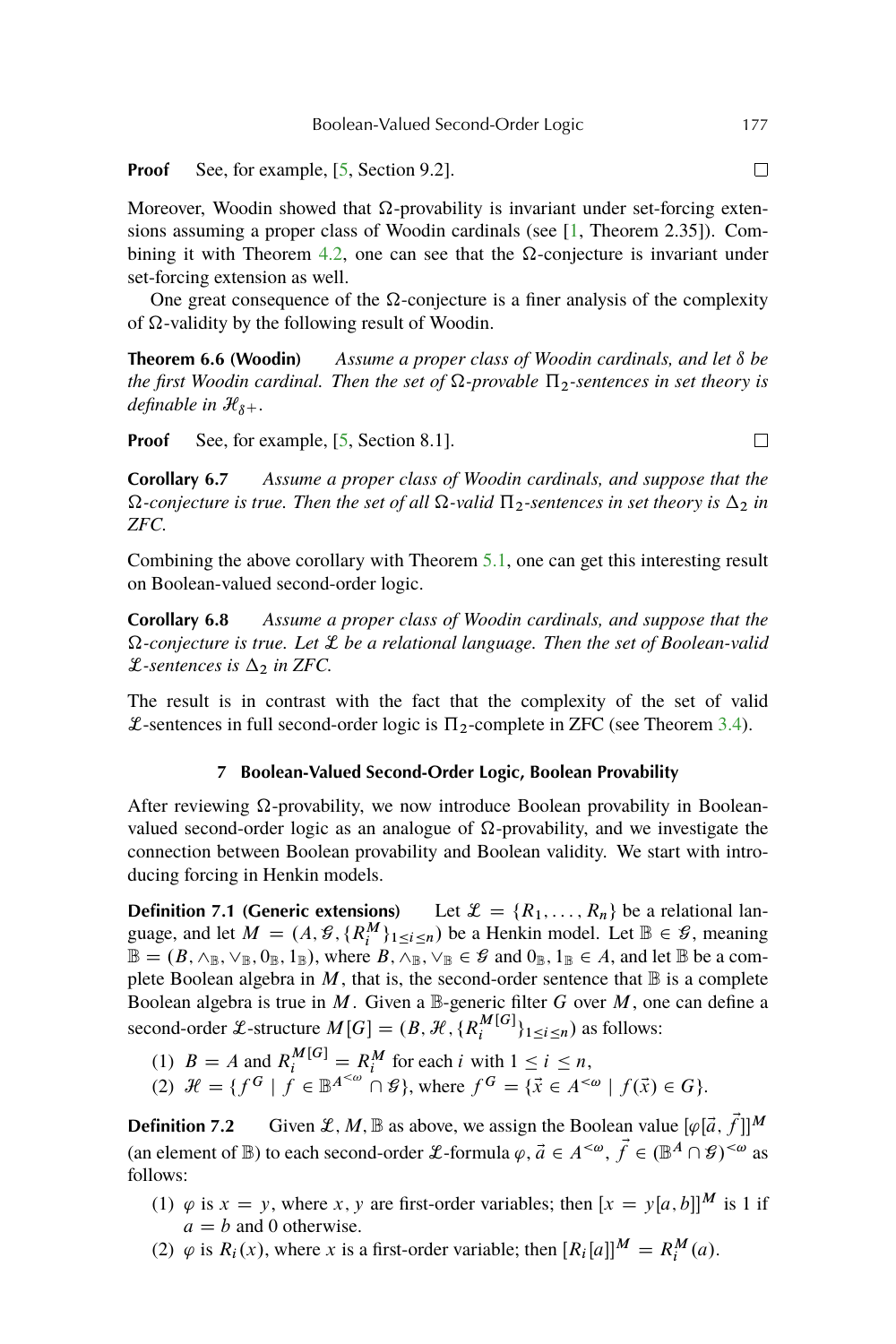<span id="page-10-0"></span>**Proof** See, for example, [\[5,](#page-22-0) Section 9.2].

Moreover, Woodin showed that  $\Omega$ -provability is invariant under set-forcing extensions assuming a proper class of Woodin cardinals (see  $[1,$  Theorem 2.35]). Com-bining it with Theorem [4.2,](#page-7-0) one can see that the  $\Omega$ -conjecture is invariant under set-forcing extension as well.

One great consequence of the  $\Omega$ -conjecture is a finer analysis of the complexity of  $\Omega$ -validity by the following result of Woodin.

**Theorem 6.6 (Woodin)** Assume a proper class of Woodin cardinals, and let  $\delta$  be *the first Woodin cardinal. Then the set of*  $\Omega$ -provable  $\Pi$ <sub>2</sub>-sentences in set theory is *definable in*  $\mathcal{H}_{\delta+}$ *.* 

**Proof** See, for example, [\[5,](#page-22-0) Section 8.1].

**Corollary 6.7** *Assume a proper class of Woodin cardinals, and suppose that the*  $\Omega$ -conjecture is true. Then the set of all  $\Omega$ -valid  $\Pi_2$ -sentences in set theory is  $\Delta_2$  in *ZFC.*

Combining the above corollary with Theorem [5.1,](#page-7-0) one can get this interesting result on Boolean-valued second-order logic.

**Corollary 6.8** *Assume a proper class of Woodin cardinals, and suppose that the -conjecture is true. Let* L *be a relational language. Then the set of Boolean-valid*  $\mathcal{L}$ -sentences is  $\Delta_2$  in ZFC.

The result is in contrast with the fact that the complexity of the set of valid  $\mathcal{L}$ -sentences in full second-order logic is  $\Pi_2$ -complete in ZFC (see Theorem [3.4\)](#page-6-0).

# **7 Boolean-Valued Second-Order Logic, Boolean Provability**

After reviewing  $\Omega$ -provability, we now introduce Boolean provability in Booleanvalued second-order logic as an analogue of  $\Omega$ -provability, and we investigate the connection between Boolean provability and Boolean validity. We start with introducing forcing in Henkin models.

**Definition 7.1 (Generic extensions)** Let  $\mathcal{L} = \{R_1, \ldots, R_n\}$  be a relational language, and let  $M = (A, \mathcal{G}, \{R_i^M\}_{1 \leq i \leq n})$  be a Henkin model. Let  $\mathbb{B} \in \mathcal{G}$ , meaning  $\mathbb{B} = (B, \wedge_{\mathbb{B}}, \vee_{\mathbb{B}}, 0_{\mathbb{B}}, 1_{\mathbb{B}}),$  where  $B, \wedge_{\mathbb{B}}, \vee_{\mathbb{B}} \in \mathcal{G}$  and  $0_{\mathbb{B}}, 1_{\mathbb{B}} \in A$ , and let  $\mathbb{B}$  be a complete Boolean algebra in M, that is, the second-order sentence that  $\mathbb B$  is a complete Boolean algebra is true in  $M$ . Given a  $\mathbb{B}$ -generic filter G over  $M$ , one can define a second-order L-structure  $M[G] = (B, \mathcal{H}, \{R_i^{M[G]} \}$  $_{i}^{M[G]}$ <sub>1</sub>  $\leq i \leq n$ ) as follows:

- (1)  $B = A$  and  $R_i^{M[G]} = R_i^M$  for each i with  $1 \le i \le n$ ,
- (2)  $\mathcal{H} = \{f^G \mid f \in \mathbb{B}^{A^{<\omega}} \cap \mathcal{G}\}\,$ , where  $f^G = \{\vec{x} \in A^{<\omega} \mid f(\vec{x}) \in G\}\,$ .

**Definition 7.2** Given  $\mathcal{L}, M, \mathbb{B}$  as above, we assign the Boolean value  $[\varphi[\vec{a}, \vec{f}]]^M$ (an element of B) to each second-order L-formula  $\varphi$ ,  $\vec{a} \in A^{<\omega}$ ,  $\vec{f} \in (\mathbb{B}^A \cap \mathcal{G})^{<\omega}$  as follows:

- (1)  $\varphi$  is  $x = y$ , where x, y are first-order variables; then  $[x = y[a, b]]^M$  is 1 if  $a = b$  and 0 otherwise.
- (2)  $\varphi$  is  $R_i(x)$ , where x is a first-order variable; then  $[R_i[a]]^M = R_i^M(a)$ .

 $\Box$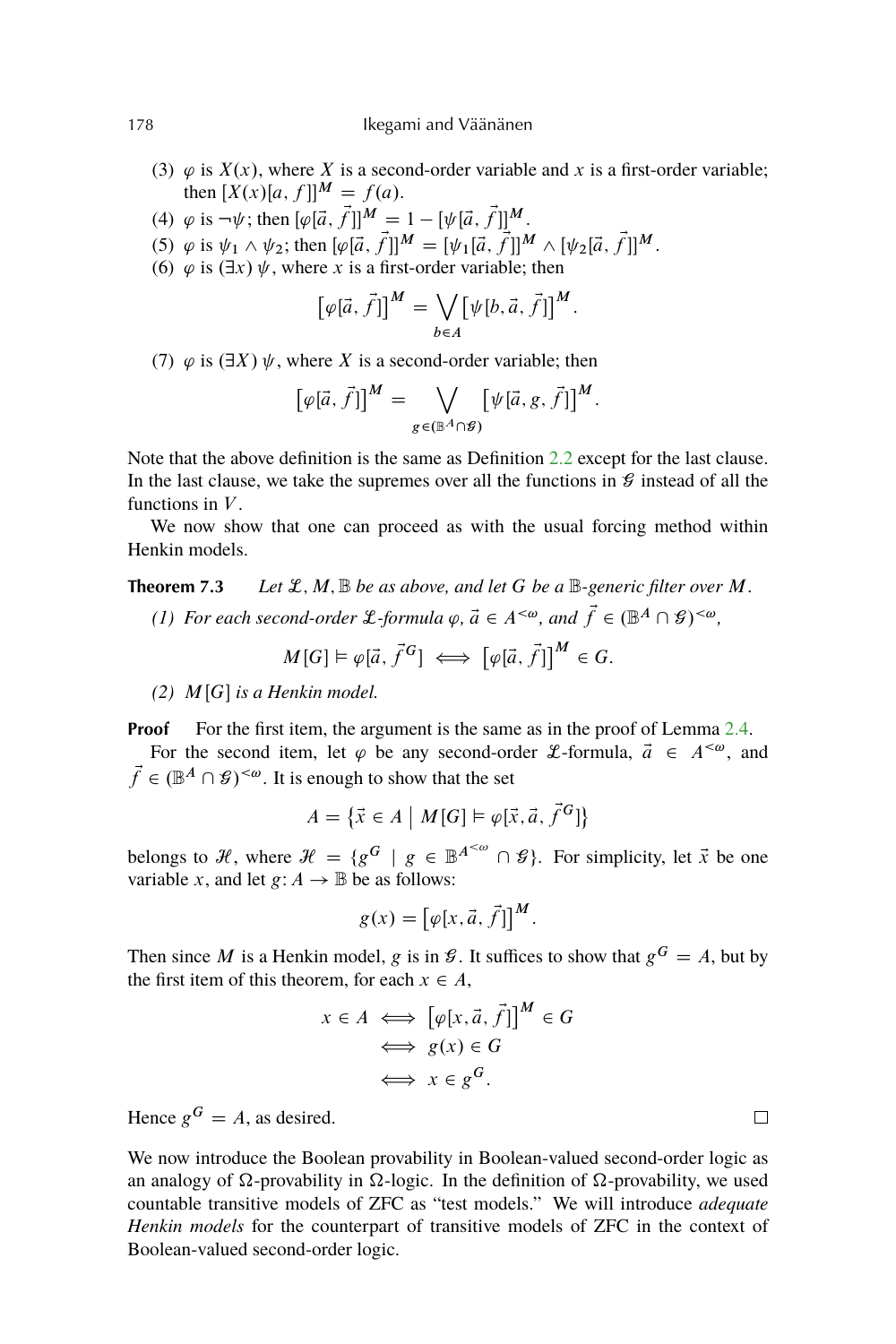178 Ikegami and Väänänen

- (3)  $\varphi$  is  $X(x)$ , where X is a second-order variable and x is a first-order variable; then  $[X(x)[a, f]]^M = f(a)$ .
- (4)  $\varphi$  is  $\neg \psi$ ; then  $[\varphi[\vec{a}, \vec{f}]]^M = 1 [\psi[\vec{a}, \vec{f}]]^M$ .
- (5)  $\varphi$  is  $\psi_1 \wedge \psi_2$ ; then  $[\varphi[\vec{a}, \vec{f}]]^M = [\psi_1[\vec{a}, \vec{f}]]^M \wedge [\psi_2[\vec{a}, \vec{f}]]^M$ .
- (6)  $\varphi$  is  $(\exists x)$   $\psi$ , where x is a first-order variable; then

$$
[\varphi[\vec{a}, \vec{f}]]^M = \bigvee_{b \in A} [\psi[b, \vec{a}, \vec{f}]]^M.
$$

(7)  $\varphi$  is  $(\exists X) \psi$ , where X is a second-order variable; then

$$
[\varphi[\vec{a}, \vec{f}]]^M = \bigvee_{g \in (\mathbb{B}^A \cap \mathcal{G})} [\psi[\vec{a}, g, \vec{f}]]^M.
$$

Note that the above definition is the same as Definition [2.2](#page-2-0) except for the last clause. In the last clause, we take the supremes over all the functions in  $\mathcal G$  instead of all the functions in  $V$ .

We now show that one can proceed as with the usual forcing method within Henkin models.

**Theorem 7.3** *Let*  $\mathcal{L}, M, \mathbb{B}$  *be as above, and let* G *be a*  $\mathbb{B}$ -generic filter over M. *(1)* For each second-order L-formula  $\varphi$ ,  $\vec{a} \in A^{<\omega}$ , and  $\vec{f} \in (\mathbb{B}^A \cap \mathcal{G})^{<\omega}$ ,

 $M[G] \models \varphi[\vec{a}, \vec{f}^G] \iff [\varphi[\vec{a}, \vec{f}]]^M \in G.$ 

 $(2)$  *M*[*G*] *is a Henkin model.* 

**Proof** For the first item, the argument is the same as in the proof of Lemma [2.4.](#page-3-0) For the second item, let  $\varphi$  be any second-order *L*-formula,  $\vec{a} \in A^{<\omega}$ , and  $\vec{f} \in (\mathbb{B}^A \cap \mathcal{G})^{\leq \omega}$ . It is enough to show that the set

$$
A = \{ \vec{x} \in A \mid M[G] \models \varphi[\vec{x}, \vec{a}, \vec{f}^G] \}
$$

belongs to H, where  $\mathcal{H} = \{g^G \mid g \in \mathbb{B}^{A^{<\omega}} \cap \mathcal{G}\}\$ . For simplicity, let  $\vec{x}$  be one variable x, and let  $g: A \to \mathbb{B}$  be as follows:

$$
g(x) = \left[\varphi[x, \vec{a}, \vec{f}]\right]^M.
$$

Then since M is a Henkin model, g is in  $\mathcal{G}$ . It suffices to show that  $g^G = A$ , but by the first item of this theorem, for each  $x \in A$ ,

$$
x \in A \iff [\varphi[x, \vec{a}, \vec{f}]]^{M} \in G
$$
  

$$
\iff g(x) \in G
$$
  

$$
\iff x \in g^{G}.
$$

Hence  $g^G = A$ , as desired.

We now introduce the Boolean provability in Boolean-valued second-order logic as an analogy of  $\Omega$ -provability in  $\Omega$ -logic. In the definition of  $\Omega$ -provability, we used countable transitive models of ZFC as "test models." We will introduce *adequate Henkin models* for the counterpart of transitive models of ZFC in the context of Boolean-valued second-order logic.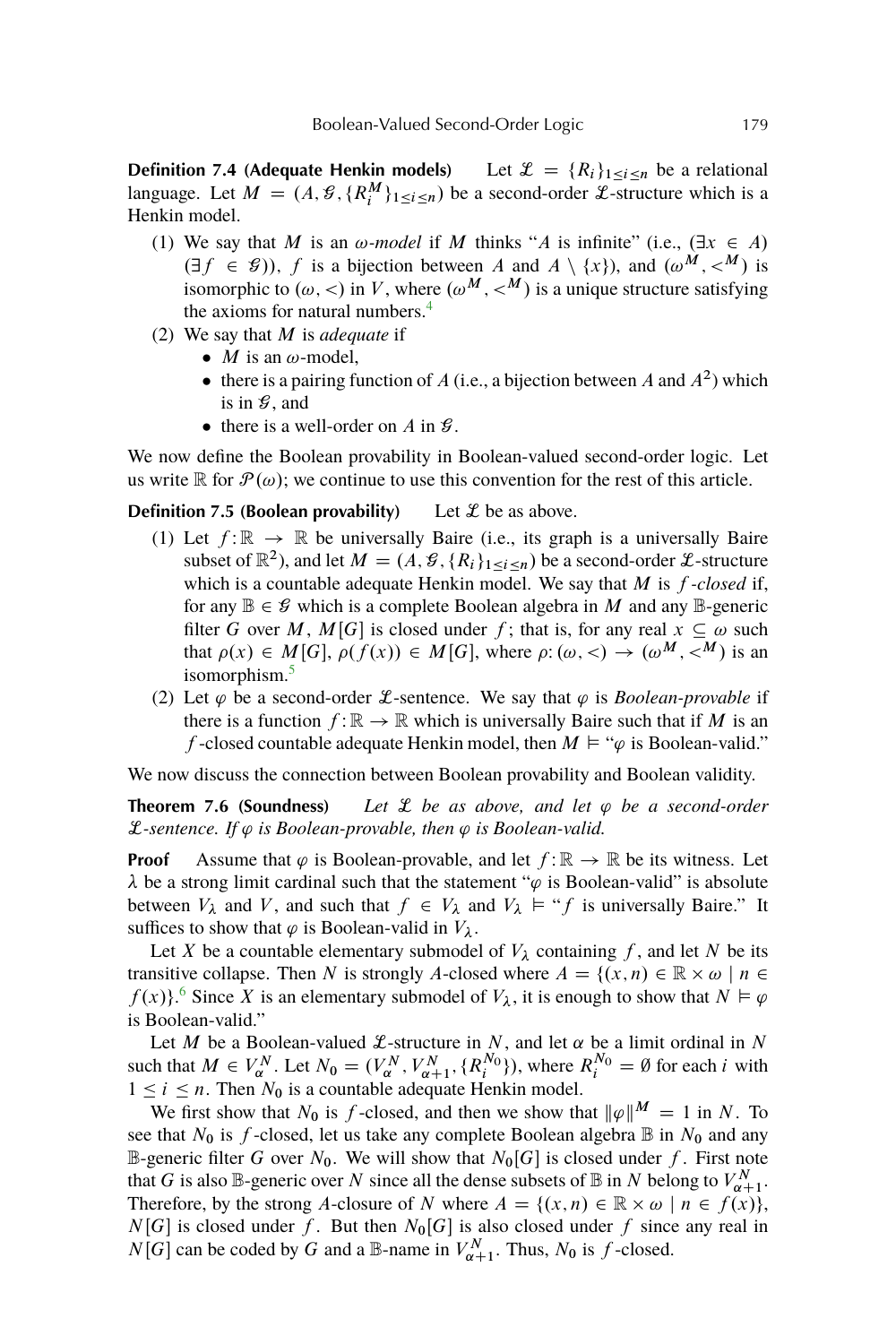<span id="page-12-0"></span>**Definition 7.4 (Adequate Henkin models)** Let  $\mathcal{L} = \{R_i\}_{1 \le i \le n}$  be a relational language. Let  $M = (A, \mathcal{G}, \{R_i^M\}_{1 \leq i \leq n})$  be a second-order  $\mathcal{L}$ -structure which is a Henkin model.

- (1) We say that M is an  $\omega$ -model if M thinks "A is infinite" (i.e.,  $(\exists x \in A)$ )  $(\exists f \in \mathcal{G})$ , f is a bijection between A and  $A \setminus \{x\}$ , and  $(\omega^M, \langle M \rangle)$  is isomorphic to  $(\omega, <)$  in V, where  $(\omega^M, <^M)$  is a unique structure satisfying the axioms for natural numbers.<sup>[4](#page-21-0)</sup>
- (2) We say that M is *adequate* if
	- *M* is an  $\omega$ -model,
	- there is a pairing function of A (i.e., a bijection between A and  $A^2$ ) which is in  $\mathcal{G}$ , and
	- there is a well-order on A in  $\mathcal{G}$ .

We now define the Boolean provability in Boolean-valued second-order logic. Let us write  $\mathbb R$  for  $\mathcal P(\omega)$ ; we continue to use this convention for the rest of this article.

**Definition 7.5 (Boolean provability)** Let  $\mathcal{L}$  be as above.

- (1) Let  $f: \mathbb{R} \to \mathbb{R}$  be universally Baire (i.e., its graph is a universally Baire subset of  $\mathbb{R}^2$ ), and let  $M = (A, \mathcal{G}, \{R_i\}_{1 \leq i \leq n})$  be a second-order  $\mathcal{L}$ -structure which is a countable adequate Henkin model. We say that  $M$  is  $f$ -closed if, for any  $\mathbb{B} \in \mathcal{G}$  which is a complete Boolean algebra in M and any  $\mathbb{B}$ -generic filter G over M, M[G] is closed under f; that is, for any real  $x \subseteq \omega$  such that  $\rho(x) \in M[G], \rho(f(x)) \in M[G]$ , where  $\rho: (\omega, <) \to (\omega^M, <^M)$  is an isomorphism.<sup>[5](#page-21-0)</sup>
- (2) Let  $\varphi$  be a second-order *L*-sentence. We say that  $\varphi$  is *Boolean-provable* if there is a function  $f : \mathbb{R} \to \mathbb{R}$  which is universally Baire such that if M is an f-closed countable adequate Henkin model, then  $M \models ``\varphi$  is Boolean-valid."

We now discuss the connection between Boolean provability and Boolean validity.

**Theorem 7.6 (Soundness)** *Let*  $\mathcal{L}$  *be as above, and let*  $\varphi$  *be a second-order*  $\mathcal{L}$ -sentence. If  $\varphi$  is Boolean-provable, then  $\varphi$  is Boolean-valid.

**Proof** Assume that  $\varphi$  is Boolean-provable, and let  $f : \mathbb{R} \to \mathbb{R}$  be its witness. Let  $\lambda$  be a strong limit cardinal such that the statement " $\varphi$  is Boolean-valid" is absolute between  $V_{\lambda}$  and V, and such that  $f \in V_{\lambda}$  and  $V_{\lambda} \models "f$  is universally Baire." It suffices to show that  $\varphi$  is Boolean-valid in  $V_{\lambda}$ .

Let X be a countable elementary submodel of  $V_{\lambda}$  containing f, and let N be its transitive collapse. Then N is strongly A-closed where  $A = \{(x, n) \in \mathbb{R} \times \omega \mid n \in \mathbb{R} \}$  $f(x)$ .<sup>[6](#page-21-0)</sup> Since X is an elementary submodel of  $V_{\lambda}$ , it is enough to show that  $N \vDash \varphi$ is Boolean-valid."

Let M be a Boolean-valued  $\mathcal{L}$ -structure in N, and let  $\alpha$  be a limit ordinal in N such that  $M \in V_{\alpha}^N$ . Let  $N_0 = (V_{\alpha}^N, V_{\alpha+1}^N, \{R_i^{N_0}\})$ , where  $R_i^{N_0} = \emptyset$  for each i with  $1 \le i \le n$ . Then  $N_0$  is a countable adequate Henkin model.

We first show that  $N_0$  is f-closed, and then we show that  $\|\varphi\|^M = 1$  in N. To see that  $N_0$  is f-closed, let us take any complete Boolean algebra  $\mathbb B$  in  $N_0$  and any B-generic filter G over  $N_0$ . We will show that  $N_0[G]$  is closed under f. First note that G is also  $\mathbb{B}$ -generic over N since all the dense subsets of  $\mathbb{B}$  in N belong to  $V_{\alpha+1}^N$ . Therefore, by the strong A-closure of N where  $A = \{(x, n) \in \mathbb{R} \times \omega \mid n \in f(x)\}\,$  $N[G]$  is closed under f. But then  $N_0[G]$  is also closed under f since any real in  $N[G]$  can be coded by G and a B-name in  $V_{\alpha+1}^N$ . Thus,  $N_0$  is f-closed.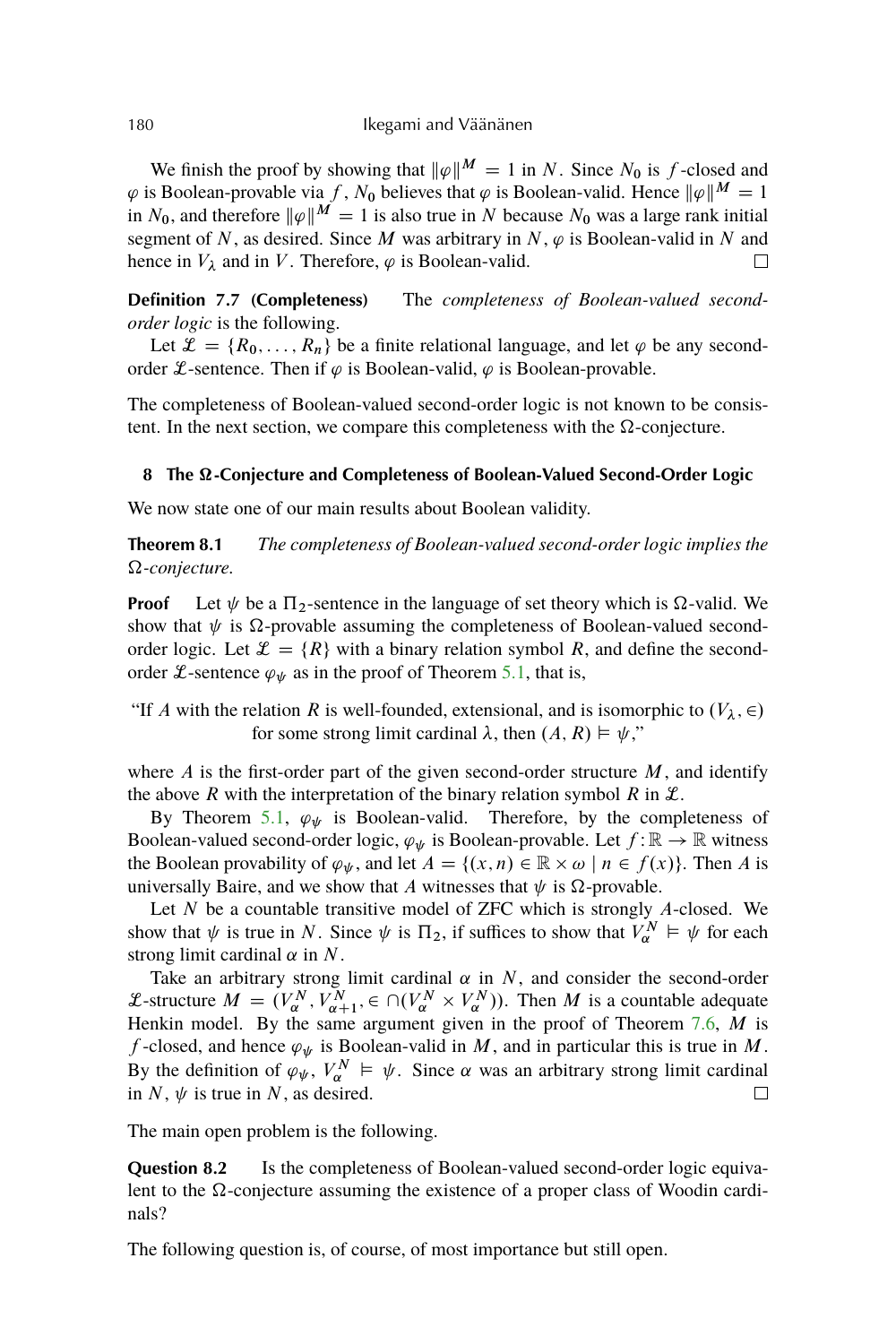We finish the proof by showing that  $\|\varphi\|^M = 1$  in N. Since N<sub>0</sub> is f-closed and  $\varphi$  is Boolean-provable via f, N<sub>0</sub> believes that  $\varphi$  is Boolean-valid. Hence  $\|\varphi\|^M = 1$ in N<sub>0</sub>, and therefore  $\|\varphi\|^{M} = 1$  is also true in N because N<sub>0</sub> was a large rank initial segment of N, as desired. Since M was arbitrary in N,  $\varphi$  is Boolean-valid in N and hence in  $V_{\lambda}$  and in V. Therefore,  $\varphi$  is Boolean-valid.  $\Box$ 

**Definition 7.7 (Completeness)** The *completeness of Boolean-valued secondorder logic* is the following.

Let  $\mathcal{L} = \{R_0, \ldots, R_n\}$  be a finite relational language, and let  $\varphi$  be any secondorder L-sentence. Then if  $\varphi$  is Boolean-valid,  $\varphi$  is Boolean-provable.

The completeness of Boolean-valued second-order logic is not known to be consistent. In the next section, we compare this completeness with the  $\Omega$ -conjecture.

#### **8 The -Conjecture and Completeness of Boolean-Valued Second-Order Logic**

We now state one of our main results about Boolean validity.

**Theorem 8.1** *The completeness of Boolean-valued second-order logic implies the -conjecture.*

**Proof** Let  $\psi$  be a  $\Pi_2$ -sentence in the language of set theory which is  $\Omega$ -valid. We show that  $\psi$  is  $\Omega$ -provable assuming the completeness of Boolean-valued secondorder logic. Let  $\mathcal{L} = \{R\}$  with a binary relation symbol R, and define the secondorder L-sentence  $\varphi_{\psi}$  as in the proof of Theorem [5.1,](#page-7-0) that is,

"If A with the relation R is well-founded, extensional, and is isomorphic to  $(V_{\lambda}, \in)$ for some strong limit cardinal  $\lambda$ , then  $(A, R) \models \psi$ ,"

where  $A$  is the first-order part of the given second-order structure  $M$ , and identify the above R with the interpretation of the binary relation symbol R in  $\mathcal{L}$ .

By Theorem [5.1,](#page-7-0)  $\varphi_{\psi}$  is Boolean-valid. Therefore, by the completeness of Boolean-valued second-order logic,  $\varphi_{\psi}$  is Boolean-provable. Let  $f : \mathbb{R} \to \mathbb{R}$  witness the Boolean provability of  $\varphi_{\psi}$ , and let  $A = \{(x, n) \in \mathbb{R} \times \omega \mid n \in f(x)\}\.$  Then A is universally Baire, and we show that A witnesses that  $\psi$  is  $\Omega$ -provable.

Let  $N$  be a countable transitive model of ZFC which is strongly  $A$ -closed. We show that  $\psi$  is true in N. Since  $\psi$  is  $\Pi_2$ , if suffices to show that  $V_\alpha^N \vDash \psi$  for each strong limit cardinal  $\alpha$  in N.

Take an arbitrary strong limit cardinal  $\alpha$  in  $N$ , and consider the second-order L-structure  $M = (V_\alpha^N, V_{\alpha+1}^N, \in \bigcap (V_\alpha^N \times V_\alpha^N))$ . Then M is a countable adequate Henkin model. By the same argument given in the proof of Theorem  $7.6$ ,  $M$  is f-closed, and hence  $\varphi_{\psi}$  is Boolean-valid in M, and in particular this is true in M. By the definition of  $\varphi_{\psi}, V_{\alpha}^{N} \models \psi$ . Since  $\alpha$  was an arbitrary strong limit cardinal in  $N$ ,  $\psi$  is true in N, as desired.  $\Box$ 

The main open problem is the following.

**Question 8.2** Is the completeness of Boolean-valued second-order logic equivalent to the  $\Omega$ -conjecture assuming the existence of a proper class of Woodin cardinals?

The following question is, of course, of most importance but still open.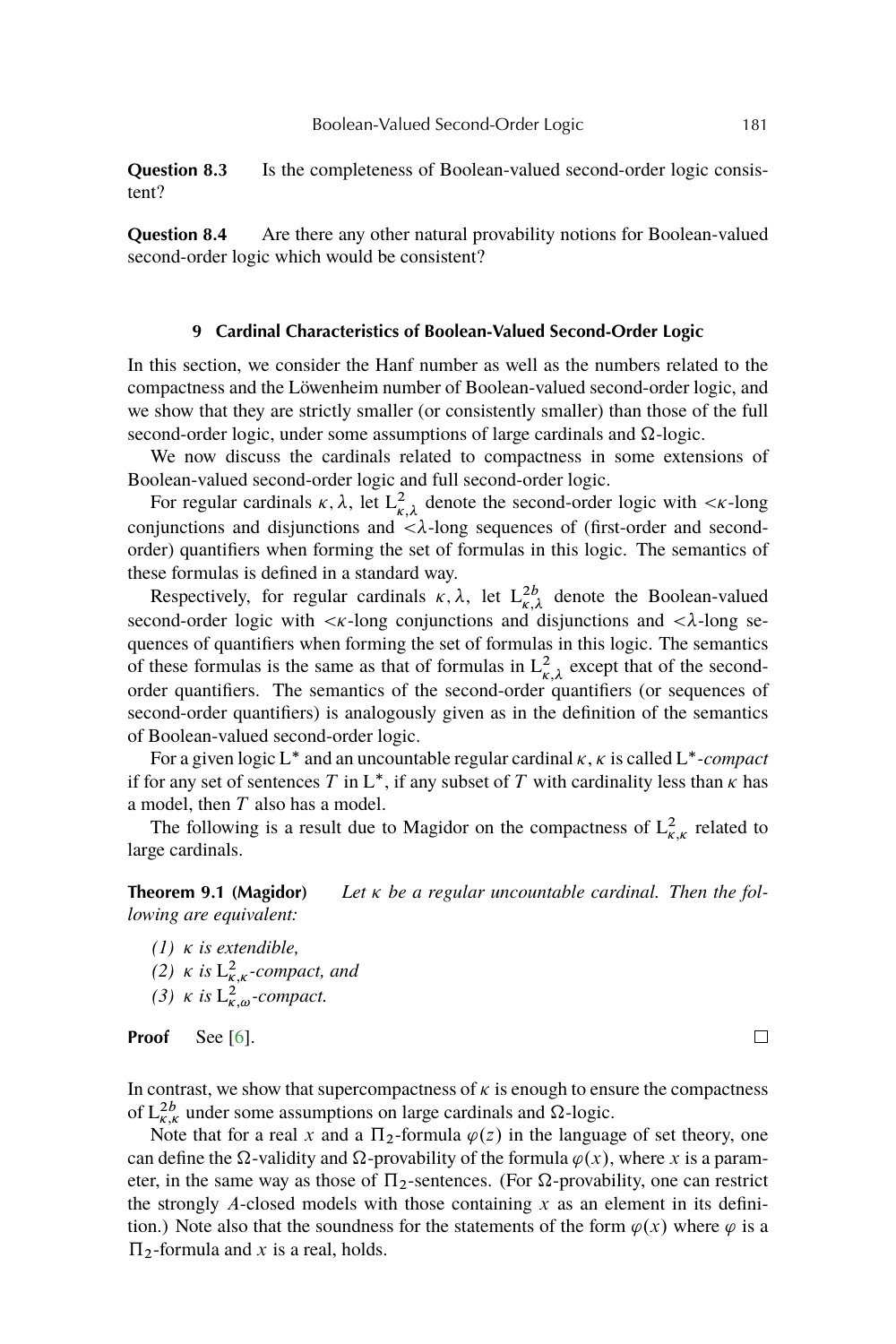<span id="page-14-0"></span>**Question 8.3** Is the completeness of Boolean-valued second-order logic consistent?

**Question 8.4** Are there any other natural provability notions for Boolean-valued second-order logic which would be consistent?

## **9 Cardinal Characteristics of Boolean-Valued Second-Order Logic**

In this section, we consider the Hanf number as well as the numbers related to the compactness and the Löwenheim number of Boolean-valued second-order logic, and we show that they are strictly smaller (or consistently smaller) than those of the full second-order logic, under some assumptions of large cardinals and  $\Omega$ -logic.

We now discuss the cardinals related to compactness in some extensions of Boolean-valued second-order logic and full second-order logic.

For regular cardinals  $\kappa$ ,  $\lambda$ , let  $L^2_{\kappa,\lambda}$  denote the second-order logic with  $\langle \kappa$ -long conjunctions and disjunctions and  $\langle \lambda$ -long sequences of (first-order and secondorder) quantifiers when forming the set of formulas in this logic. The semantics of these formulas is defined in a standard way.

Respectively, for regular cardinals  $\kappa$ ,  $\lambda$ , let  $L^{2b}_{\kappa, \lambda}$  denote the Boolean-valued second-order logic with  $\langle \kappa \rangle$ -long conjunctions and disjunctions and  $\langle \lambda \rangle$ -long sequences of quantifiers when forming the set of formulas in this logic. The semantics of these formulas is the same as that of formulas in  $L^2_{\kappa,\lambda}$  except that of the secondorder quantifiers. The semantics of the second-order quantifiers (or sequences of second-order quantifiers) is analogously given as in the definition of the semantics of Boolean-valued second-order logic.

For a given logic L<sup>\*</sup> and an uncountable regular cardinal  $\kappa$ ,  $\kappa$  is called L<sup>\*</sup>-compact if for any set of sentences T in  $L^*$ , if any subset of T with cardinality less than  $\kappa$  has a model, then T also has a model.

The following is a result due to Magidor on the compactness of  $L^2_{\kappa,\kappa}$  related to large cardinals.

**Theorem 9.1 (Magidor)** *Let be a regular uncountable cardinal. Then the following are equivalent:*

*(1) is extendible,* (2)  $\kappa$  is  $L^2_{\kappa,\kappa}$ -compact, and (3)  $\kappa$  is  $L^2_{\kappa,\omega}$ -compact.

Proof See [\[6\]](#page-22-0).

In contrast, we show that supercompactness of  $\kappa$  is enough to ensure the compactness of  $L_{\kappa,\kappa}^{2b}$  under some assumptions on large cardinals and  $\Omega$ -logic.

Note that for a real x and a  $\Pi_2$ -formula  $\varphi(z)$  in the language of set theory, one can define the  $\Omega$ -validity and  $\Omega$ -provability of the formula  $\varphi(x)$ , where x is a parameter, in the same way as those of  $\Pi_2$ -sentences. (For  $\Omega$ -provability, one can restrict the strongly A-closed models with those containing x as an element in its definition.) Note also that the soundness for the statements of the form  $\varphi(x)$  where  $\varphi$  is a  $\Pi_2$ -formula and x is a real, holds.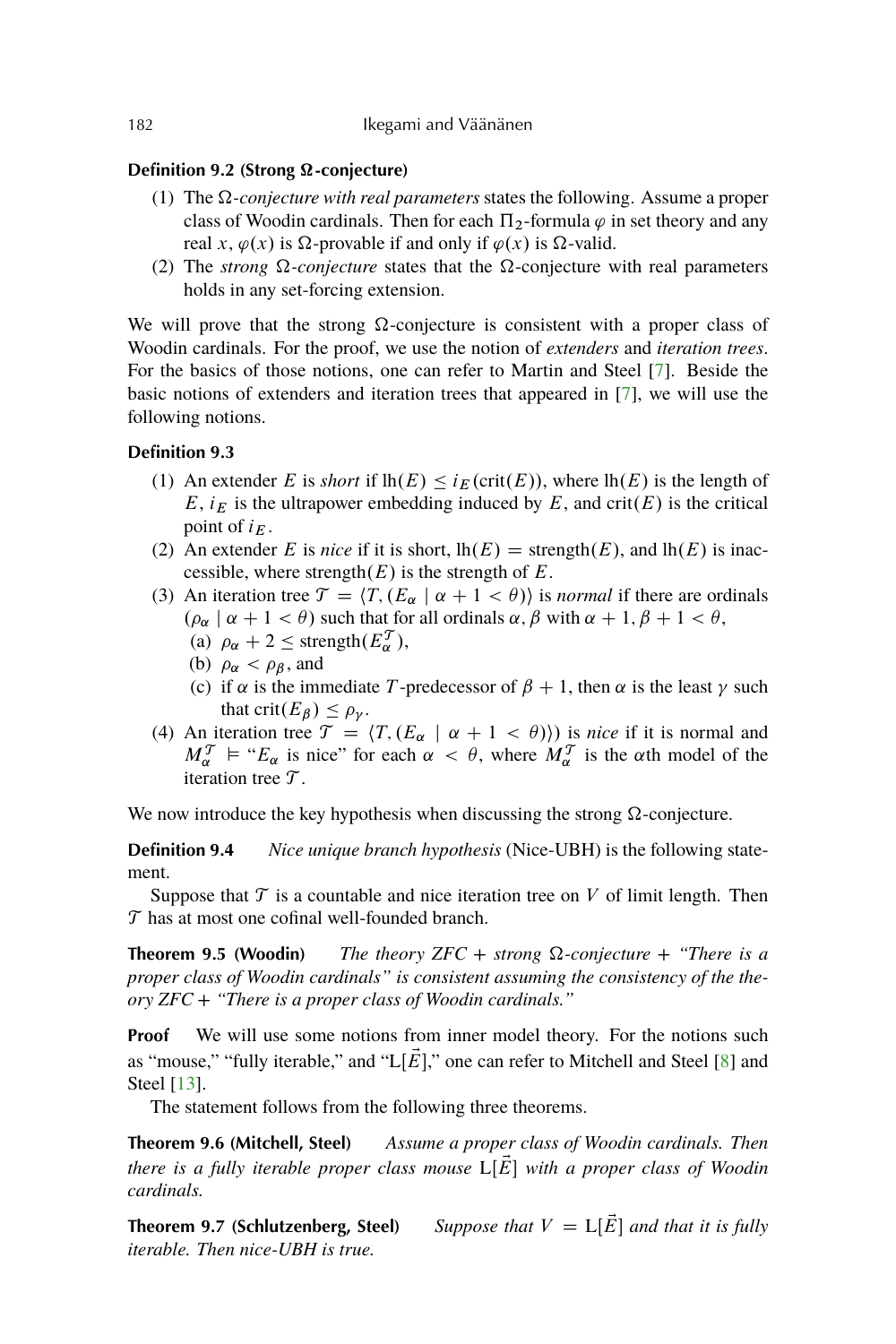# <span id="page-15-0"></span>**Definition 9.2 (Strong Ω-conjecture)**

- (1) The  $\Omega$ -conjecture with real parameters states the following. Assume a proper class of Woodin cardinals. Then for each  $\Pi_2$ -formula  $\varphi$  in set theory and any real x,  $\varphi(x)$  is  $\Omega$ -provable if and only if  $\varphi(x)$  is  $\Omega$ -valid.
- (2) The *strong*  $\Omega$ -conjecture states that the  $\Omega$ -conjecture with real parameters holds in any set-forcing extension.

We will prove that the strong  $\Omega$ -conjecture is consistent with a proper class of Woodin cardinals. For the proof, we use the notion of *extenders* and *iteration trees*. For the basics of those notions, one can refer to Martin and Steel [\[7\]](#page-22-0). Beside the basic notions of extenders and iteration trees that appeared in [\[7\]](#page-22-0), we will use the following notions.

# **Definition 9.3**

- (1) An extender E is *short* if  $lh(E) \leq i_F(\text{crit}(E))$ , where  $lh(E)$  is the length of  $E$ ,  $i_E$  is the ultrapower embedding induced by  $E$ , and crit(E) is the critical point of  $i_E$ .
- (2) An extender E is *nice* if it is short,  $lh(E) =$  strength $(E)$ , and  $lh(E)$  is inaccessible, where strength $(E)$  is the strength of E.
- (3) An iteration tree  $\mathcal{T} = \langle T, (E_\alpha \mid \alpha + 1 \langle \theta \rangle) \rangle$  is *normal* if there are ordinals  $(\rho_{\alpha} \mid \alpha + 1 < \theta)$  such that for all ordinals  $\alpha, \beta$  with  $\alpha + 1, \beta + 1 < \theta$ ,
	- (a)  $\rho_{\alpha} + 2 \leq \text{strength}(E_{\alpha}^{\mathcal{T}}),$
	- (b)  $\rho_{\alpha} < \rho_{\beta}$ , and
	- (c) if  $\alpha$  is the immediate T-predecessor of  $\beta + 1$ , then  $\alpha$  is the least  $\gamma$  such that  $\text{crit}(E_{\beta}) \leq \rho_{\nu}$ .
- (4) An iteration tree  $\mathcal{T} = \langle T, (E_\alpha \mid \alpha + 1 \langle \theta \rangle) \rangle$  is *nice* if it is normal and  $M_{\alpha}^{\mathcal{T}}$  = " $E_{\alpha}$  is nice" for each  $\alpha < \theta$ , where  $M_{\alpha}^{\mathcal{T}}$  is the  $\alpha$ th model of the iteration tree  $\mathcal{T}$ .

We now introduce the key hypothesis when discussing the strong  $\Omega$ -conjecture.

**Definition 9.4** *Nice unique branch hypothesis* (Nice-UBH) is the following statement.

Suppose that  $\mathcal T$  is a countable and nice iteration tree on  $V$  of limit length. Then  $T$  has at most one cofinal well-founded branch.

**Theorem 9.5 (Woodin)** *The theory ZFC + strong*  $\Omega$ -conjecture + "There is a *proper class of Woodin cardinals" is consistent assuming the consistency of the theory ZFC + "There is a proper class of Woodin cardinals."*

**Proof** We will use some notions from inner model theory. For the notions such as "mouse," "fully iterable," and " $L[\vec{E}]$ ," one can refer to Mitchell and Steel [\[8\]](#page-22-0) and Steel [\[13\]](#page-22-0).

The statement follows from the following three theorems.

**Theorem 9.6 (Mitchell, Steel)** *Assume a proper class of Woodin cardinals. Then there is a fully iterable proper class mouse*  $L[E]$  *with a proper class of Woodin cardinals.*

**Theorem 9.7 (Schlutzenberg, Steel)** *Suppose that*  $V = L[\vec{E}]$  *and that it is fully iterable. Then nice-UBH is true.*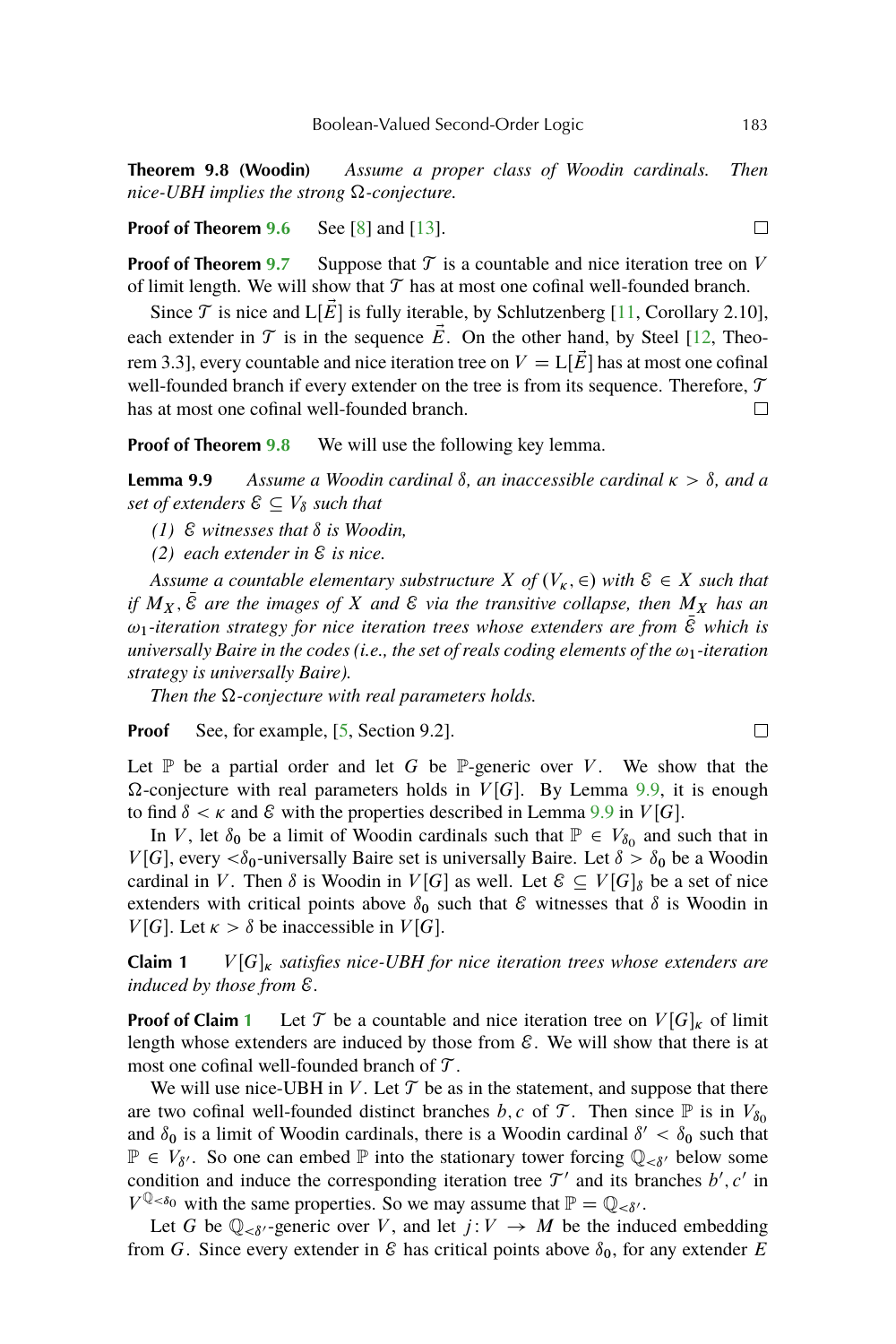<span id="page-16-0"></span>**Theorem 9.8 (Woodin)** *Assume a proper class of Woodin cardinals. Then*  $nice-UBH$  *implies the strong*  $\Omega$ -*conjecture*.

**Proof of Theorem [9.6](#page-15-0)** See [\[8\]](#page-22-0) and [\[13\]](#page-22-0).

**Proof of Theorem [9.7](#page-15-0)** Suppose that  $\mathcal T$  is a countable and nice iteration tree on V of limit length. We will show that  $\mathcal T$  has at most one cofinal well-founded branch.

Since  $\mathcal T$  is nice and  $L[\vec{E}]$  is fully iterable, by Schlutzenberg [\[11,](#page-22-0) Corollary 2.10], each extender in  $\mathcal T$  is in the sequence  $\vec E$ . On the other hand, by Steel [\[12,](#page-22-0) Theorem 3.3], every countable and nice iteration tree on  $V = L[\overline{E}]$  has at most one cofinal well-founded branch if every extender on the tree is from its sequence. Therefore,  ${\mathcal T}$ has at most one cofinal well-founded branch.  $\Box$ 

**Proof of Theorem [9.8](#page-15-0)** We will use the following key lemma.

**Lemma 9.9** Assume a Woodin cardinal  $\delta$ , an inaccessible cardinal  $\kappa > \delta$ , and a *set of extenders*  $\mathcal{E} \subseteq V_{\delta}$  *such that* 

- $(1)$   $\&$  *witnesses that*  $\δ$  *is Woodin,*
- *(2) each extender in* E *is nice.*

*Assume a countable elementary substructure X of*  $(V_{\kappa}, \epsilon)$  *with*  $\epsilon \in X$  *such that if*  $M_X$ ,  $\overline{E}$  *are the images of* X *and*  $\mathcal{E}$  *via the transitive collapse, then*  $M_X$  *has an*  $\omega_1$ -iteration strategy for nice iteration trees whose extenders are from  $\bar{\mathcal{E}}$  which is *universally Baire in the codes (i.e., the set of reals coding elements of the*  $\omega_1$ -iteration *strategy is universally Baire).*

*Then the*  $\Omega$ -conjecture with real parameters holds.

**Proof** See, for example, [\[5,](#page-22-0) Section 9.2].

Let  $\mathbb P$  be a partial order and let G be  $\mathbb P$ -generic over V. We show that the  $\Omega$ -conjecture with real parameters holds in  $V[G]$ . By Lemma 9.9, it is enough to find  $\delta < \kappa$  and  $\epsilon$  with the properties described in Lemma 9.9 in  $V[G]$ .

In V, let  $\delta_0$  be a limit of Woodin cardinals such that  $\mathbb{P} \in V_{\delta_0}$  and such that in  $V[G]$ , every  $\langle \delta_0$ -universally Baire set is universally Baire. Let  $\delta > \delta_0$  be a Woodin cardinal in V. Then  $\delta$  is Woodin in  $V[G]$  as well. Let  $\mathcal{E} \subseteq V[G]_{\delta}$  be a set of nice extenders with critical points above  $\delta_0$  such that  $\mathcal E$  witnesses that  $\delta$  is Woodin in  $V[G]$ . Let  $\kappa > \delta$  be inaccessible in  $V[G]$ .

**Claim 1**  $V[G]_k$  satisfies nice-UBH for nice iteration trees whose extenders are *induced by those from* E*.*

**Proof of Claim 1** Let  $\mathcal T$  be a countable and nice iteration tree on  $V[G]_K$  of limit length whose extenders are induced by those from  $\mathcal E$ . We will show that there is at most one cofinal well-founded branch of  $\mathcal T$ .

We will use nice-UBH in V. Let  $\mathcal T$  be as in the statement, and suppose that there are two cofinal well-founded distinct branches b, c of  $\mathcal T$ . Then since  $\mathbb P$  is in  $V_{\delta_0}$ and  $\delta_0$  is a limit of Woodin cardinals, there is a Woodin cardinal  $\delta' < \delta_0$  such that  $\mathbb{P} \in V_{\delta'}$ . So one can embed  $\mathbb P$  into the stationary tower forcing  $\mathbb{Q}_{\leq \delta'}$  below some condition and induce the corresponding iteration tree  $\mathcal{T}'$  and its branches  $b', c'$  in  $V^{\mathbb{Q} < \delta_0}$  with the same properties. So we may assume that  $\mathbb{P} = \mathbb{Q}_{\leq \delta'}$ .

Let G be  $\mathbb{Q}_{< \delta'}$ -generic over V, and let  $j: V \to M$  be the induced embedding from G. Since every extender in  $\mathcal E$  has critical points above  $\delta_0$ , for any extender E

 $\Box$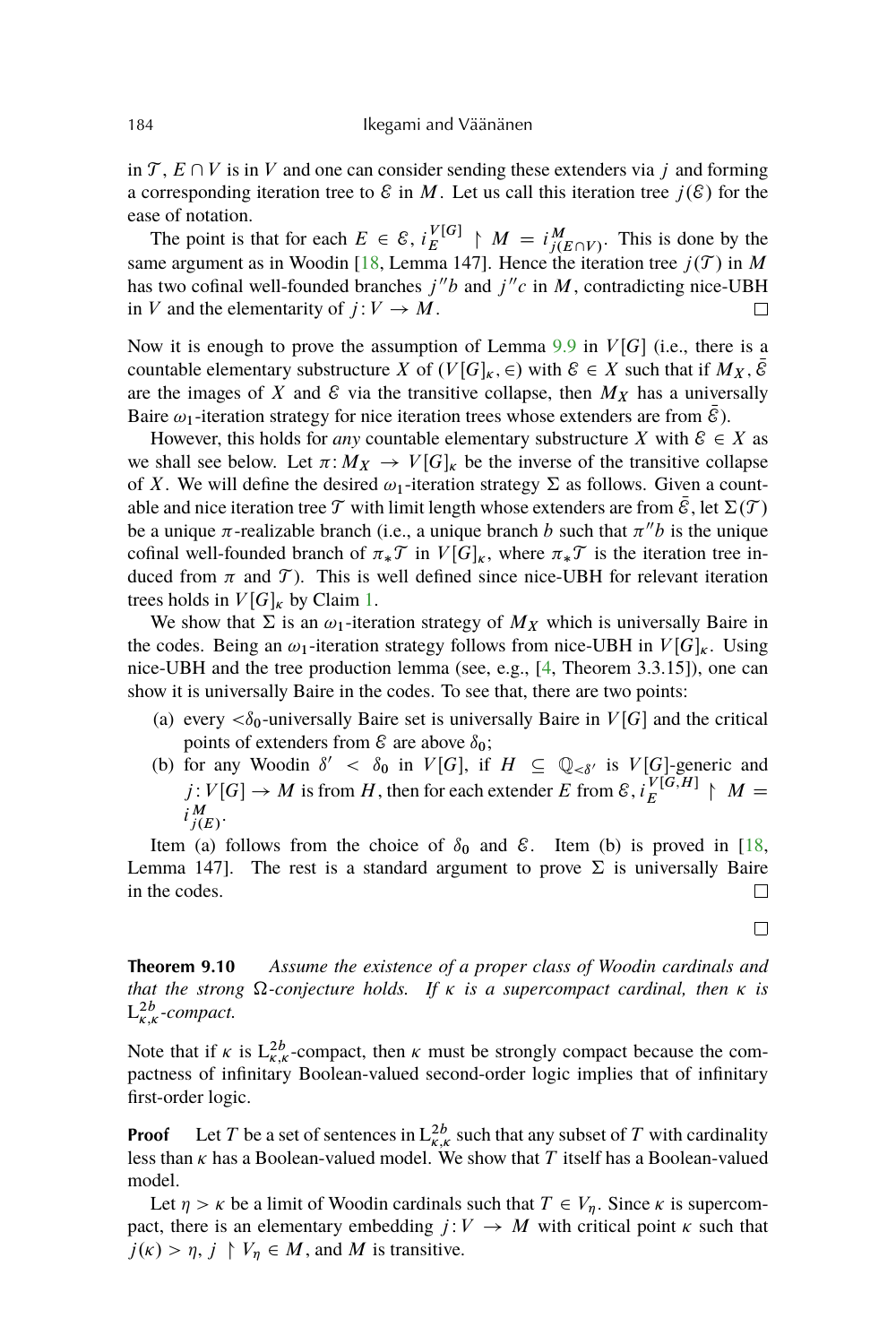<span id="page-17-0"></span>in  $\mathcal{T}, E \cap V$  is in V and one can consider sending these extenders via j and forming a corresponding iteration tree to  $\mathcal E$  in M. Let us call this iteration tree  $j(\mathcal E)$  for the ease of notation.

The point is that for each  $E \in \mathcal{E}$ ,  $i_K^{V[G]}$  $\mathcal{L}^{V[G]}_E \upharpoonright M = i_{j(E \cap V)}^M$ . This is done by the same argument as in Woodin [\[18,](#page-22-0) Lemma 147]. Hence the iteration tree  $j(\mathcal{T})$  in M has two cofinal well-founded branches  $j''b$  and  $j''c$  in M, contradicting nice-UBH in V and the elementarity of  $j: V \to M$ .

Now it is enough to prove the assumption of Lemma  $9.9$  in  $V[G]$  (i.e., there is a countable elementary substructure X of  $(V[G]_K, \in)$  with  $\mathcal{E} \in X$  such that if  $M_X, \mathcal{E}$ are the images of X and  $\mathcal E$  via the transitive collapse, then  $M_X$  has a universally Baire  $\omega_1$ -iteration strategy for nice iteration trees whose extenders are from  $\mathcal E$ ).

However, this holds for *any* countable elementary substructure X with  $\mathcal{E} \in X$  as we shall see below. Let  $\pi: M_X \to V[G]_k$  be the inverse of the transitive collapse of X. We will define the desired  $\omega_1$ -iteration strategy  $\Sigma$  as follows. Given a countable and nice iteration tree T with limit length whose extenders are from  $\mathcal{E}$ , let  $\Sigma(\mathcal{T})$ be a unique  $\pi$ -realizable branch (i.e., a unique branch b such that  $\pi''b$  is the unique cofinal well-founded branch of  $\pi_* \mathcal{T}$  in  $V[G]_k$ , where  $\pi_* \mathcal{T}$  is the iteration tree induced from  $\pi$  and  $\mathcal{T}$ ). This is well defined since nice-UBH for relevant iteration trees holds in  $V[G]_k$  by Claim [1.](#page-16-0)

We show that  $\Sigma$  is an  $\omega_1$ -iteration strategy of  $M_X$  which is universally Baire in the codes. Being an  $\omega_1$ -iteration strategy follows from nice-UBH in  $V[G]_K$ . Using nice-UBH and the tree production lemma (see, e.g., [\[4,](#page-22-0) Theorem 3.3.15]), one can show it is universally Baire in the codes. To see that, there are two points:

- (a) every  $\langle \delta_0$ -universally Baire set is universally Baire in  $V[G]$  and the critical points of extenders from  $\mathcal E$  are above  $\delta_0$ ;
- (b) for any Woodin  $\delta' < \delta_0$  in  $V[G]$ , if  $H \subseteq \mathbb{Q}_{\leq \delta'}$  is  $V[G]$ -generic and  $j: V[G] \to M$  is from H, then for each extender E from  $\mathcal{E}$ ,  $i_K^{V[G,H]}$  $E^{V[G,H]}$   $\upharpoonright$   $M=$  $i_{j(E)}^M$ .

Item (a) follows from the choice of  $\delta_0$  and  $\epsilon$ . Item (b) is proved in [\[18,](#page-22-0) Lemma 147]. The rest is a standard argument to prove  $\Sigma$  is universally Baire in the codes.  $\Box$ 

**Theorem 9.10** *Assume the existence of a proper class of Woodin cardinals and that the strong*  $\Omega$ -conjecture holds. If  $\kappa$  is a supercompact cardinal, then  $\kappa$  is  $L^{2b}_{\kappa,\kappa}$ -compact.

Note that if  $\kappa$  is  $L_{\kappa,\kappa}^{2b}$ -compact, then  $\kappa$  must be strongly compact because the compactness of infinitary Boolean-valued second-order logic implies that of infinitary first-order logic.

**Proof** Let T be a set of sentences in  $L_{\kappa,\kappa}^{2b}$  such that any subset of T with cardinality less than  $\kappa$  has a Boolean-valued model. We show that  $T$  itself has a Boolean-valued model.

Let  $\eta > \kappa$  be a limit of Woodin cardinals such that  $T \in V_n$ . Since  $\kappa$  is supercompact, there is an elementary embedding  $j: V \to M$  with critical point  $\kappa$  such that  $j(\kappa) > \eta, j \upharpoonright V_{\eta} \in M$ , and M is transitive.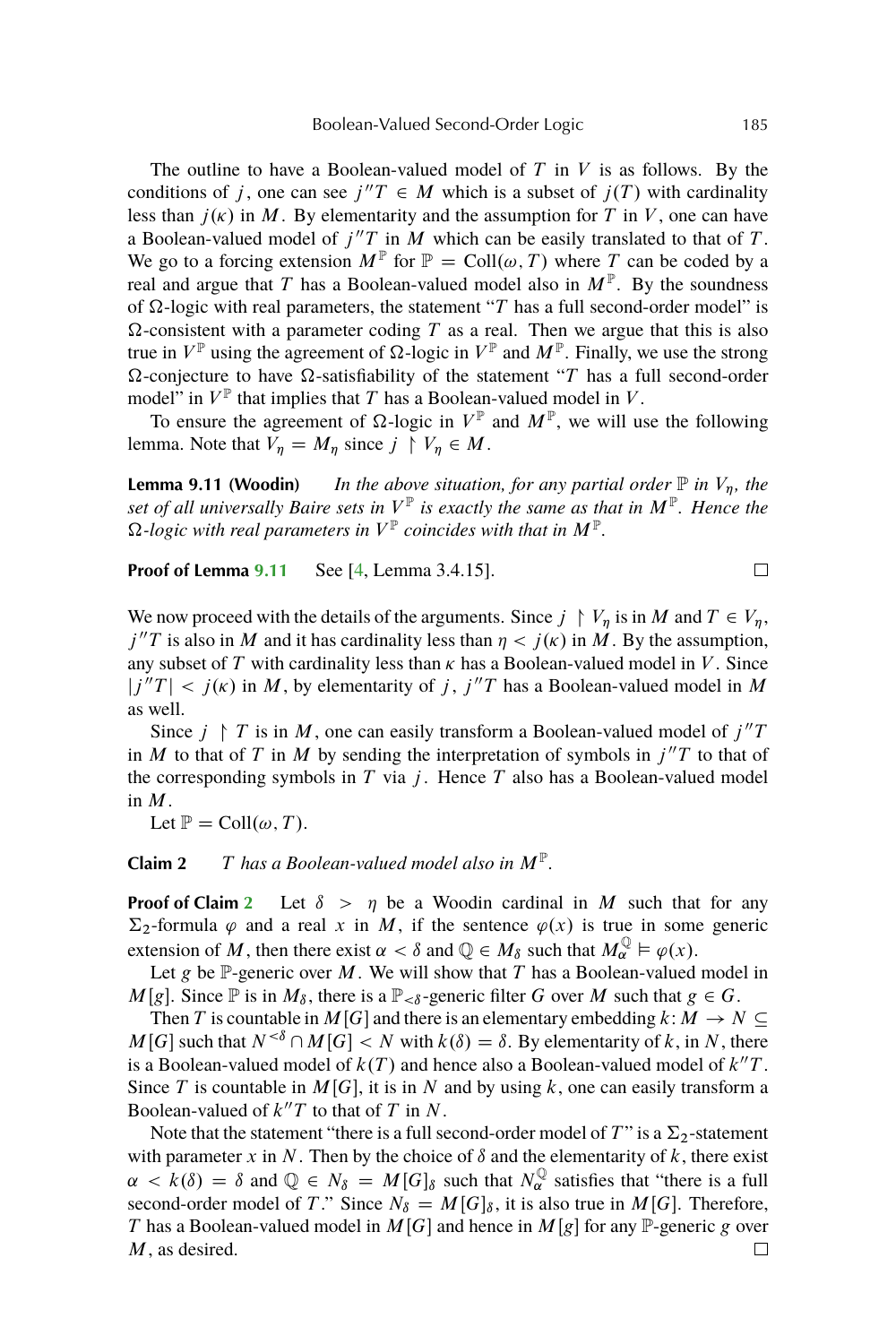<span id="page-18-0"></span>The outline to have a Boolean-valued model of  $T$  in  $V$  is as follows. By the conditions of j, one can see  $j''T \in M$  which is a subset of  $j(T)$  with cardinality less than  $j(\kappa)$  in M. By elementarity and the assumption for T in V, one can have a Boolean-valued model of  $j''T$  in M which can be easily translated to that of T. We go to a forcing extension  $M^{\mathbb{P}}$  for  $\mathbb{P} = \text{Coll}(\omega, T)$  where T can be coded by a real and argue that T has a Boolean-valued model also in  $M^{\mathbb{P}}$ . By the soundness of  $\Omega$ -logic with real parameters, the statement "T has a full second-order model" is  $\Omega$ -consistent with a parameter coding T as a real. Then we argue that this is also true in  $V^{\mathbb{P}}$  using the agreement of  $\Omega$ -logic in  $V^{\mathbb{P}}$  and  $M^{\mathbb{P}}$ . Finally, we use the strong  $\Omega$ -conjecture to have  $\Omega$ -satisfiability of the statement "T has a full second-order model" in  $V^{\mathbb{P}}$  that implies that T has a Boolean-valued model in V.

To ensure the agreement of  $\Omega$ -logic in  $V^{\mathbb{P}}$  and  $M^{\mathbb{P}}$ , we will use the following lemma. Note that  $V_n = M_n$  since  $j \restriction V_n \in M$ .

**Lemma 9.11 (Woodin)** *In the above situation, for any partial order*  $\mathbb P$  *in*  $V_n$ *, the set of all universally Baire sets in* V P *is exactly the same as that in* M<sup>P</sup> *. Hence the*  $\Omega$ -logic with real parameters in  $V^{\mathbb{P}}$  coincides with that in  $M^{\mathbb{P}}$ .

**Proof of Lemma 9.11** See [\[4,](#page-22-0) Lemma 3.4.15].

We now proceed with the details of the arguments. Since  $j \restriction V_\eta$  is in M and  $T \in V_\eta$ ,  $j''T$  is also in M and it has cardinality less than  $\eta < j(\kappa)$  in M. By the assumption, any subset of T with cardinality less than  $\kappa$  has a Boolean-valued model in V. Since  $|j''T| < j(\kappa)$  in M, by elementarity of j,  $j''T$  has a Boolean-valued model in M as well.

Since  $j \restriction T$  is in M, one can easily transform a Boolean-valued model of  $j''T$ in M to that of T in M by sending the interpretation of symbols in  $j''T$  to that of the corresponding symbols in  $T$  via  $j$ . Hence  $T$  also has a Boolean-valued model in  $M$ .

Let  $\mathbb{P} = \text{Coll}(\omega, T)$ .

**Claim 2** T has a Boolean-valued model also in  $M^{\mathbb{P}}$ .

**Proof of Claim 2** Let  $\delta > \eta$  be a Woodin cardinal in M such that for any  $\Sigma_2$ -formula  $\varphi$  and a real x in M, if the sentence  $\varphi(x)$  is true in some generic extension of M, then there exist  $\alpha < \delta$  and  $\mathbb{Q} \in M_{\delta}$  such that  $M_{\alpha}^{\mathbb{Q}} \models \varphi(x)$ .

Let g be  $\mathbb P$ -generic over M. We will show that T has a Boolean-valued model in  $M[g]$ . Since  $\mathbb P$  is in  $M_\delta$ , there is a  $\mathbb P_{<\delta}$ -generic filter G over M such that  $g \in G$ .

Then T is countable in  $M[G]$  and there is an elementary embedding  $k: M \to N \subseteq$  $M[G]$  such that  $N^{<\delta} \cap M[G] < N$  with  $k(\delta) = \delta$ . By elementarity of k, in N, there is a Boolean-valued model of  $k(T)$  and hence also a Boolean-valued model of  $k''T$ . Since T is countable in  $M[G]$ , it is in N and by using k, one can easily transform a Boolean-valued of  $k''T$  to that of T in N.

Note that the statement "there is a full second-order model of  $T$ " is a  $\Sigma_2$ -statement with parameter x in N. Then by the choice of  $\delta$  and the elementarity of k, there exist  $\alpha < k(\delta) = \delta$  and  $\mathbb{Q} \in N_{\delta} = M[G]_{\delta}$  such that  $N_{\alpha}^{\mathbb{Q}}$  satisfies that "there is a full second-order model of T." Since  $N_{\delta} = M[G]_{\delta}$ , it is also true in  $M[G]$ . Therefore, T has a Boolean-valued model in  $M[G]$  and hence in  $M[g]$  for any P-generic g over M, as desired. $\Box$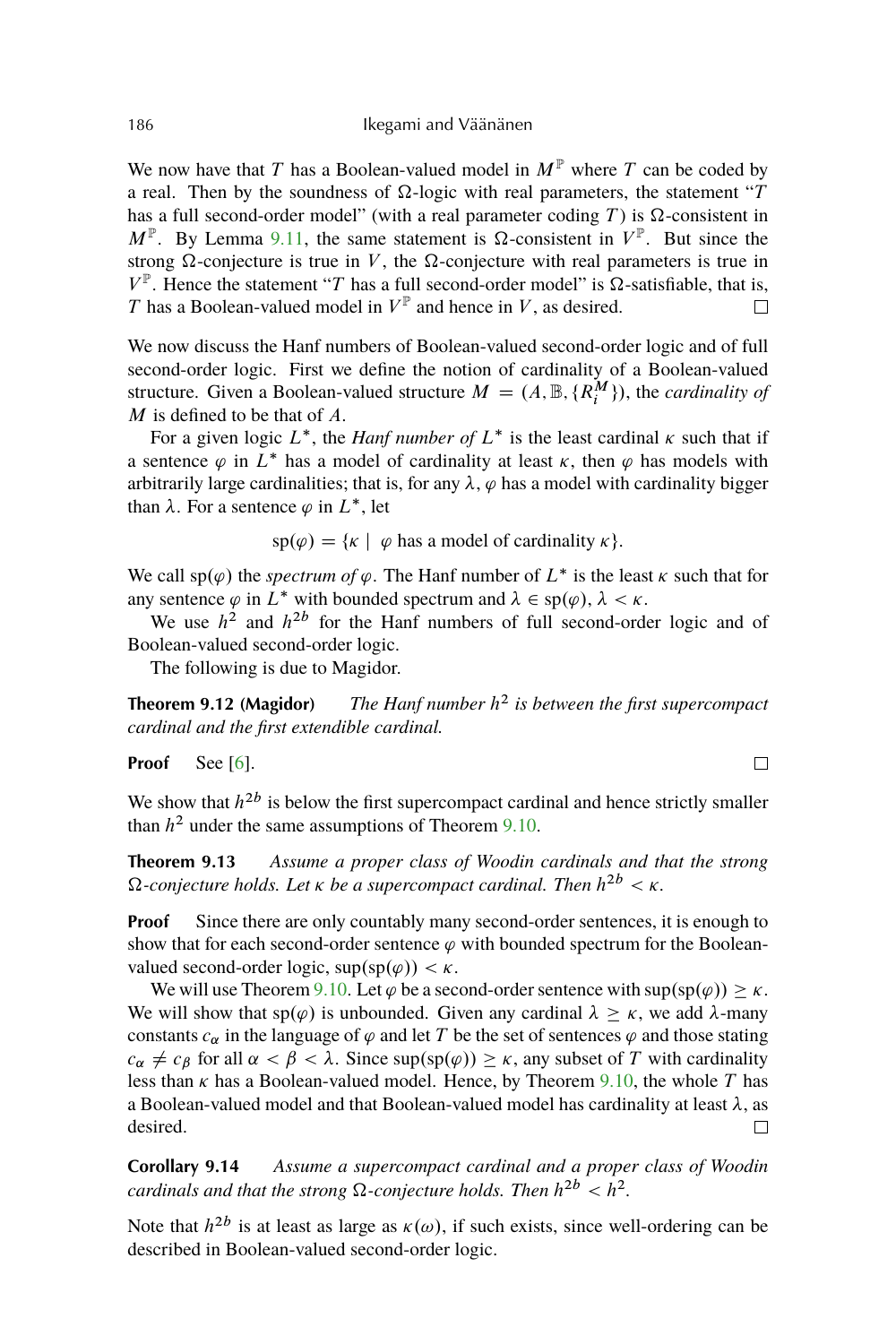<span id="page-19-0"></span>We now have that T has a Boolean-valued model in  $M^{\mathbb{P}}$  where T can be coded by a real. Then by the soundness of  $\Omega$ -logic with real parameters, the statement "T has a full second-order model" (with a real parameter coding T) is  $\Omega$ -consistent in  $M^{\mathbb{P}}$ . By Lemma [9.11,](#page-18-0) the same statement is  $\Omega$ -consistent in  $V^{\mathbb{P}}$ . But since the strong  $\Omega$ -conjecture is true in V, the  $\Omega$ -conjecture with real parameters is true in  $V^{\mathbb{P}}$ . Hence the statement "T has a full second-order model" is  $\Omega$ -satisfiable, that is, T has a Boolean-valued model in  $V^{\mathbb{P}}$  and hence in V, as desired.  $\Box$ 

We now discuss the Hanf numbers of Boolean-valued second-order logic and of full second-order logic. First we define the notion of cardinality of a Boolean-valued structure. Given a Boolean-valued structure  $M = (A, \mathbb{B}, \{R_i^M\})$ , the *cardinality of*  $M$  is defined to be that of  $A$ .

For a given logic  $L^*$ , the *Hanf number of*  $L^*$  is the least cardinal  $\kappa$  such that if a sentence  $\varphi$  in L<sup>\*</sup> has a model of cardinality at least  $\kappa$ , then  $\varphi$  has models with arbitrarily large cardinalities; that is, for any  $\lambda$ ,  $\varphi$  has a model with cardinality bigger than  $\lambda$ . For a sentence  $\varphi$  in  $L^*$ , let

 $\text{sp}(\varphi) = \{\kappa \mid \varphi \text{ has a model of cardinality } \kappa \}.$ 

We call  $sp(\varphi)$  the *spectrum of*  $\varphi$ . The Hanf number of  $L^*$  is the least  $\kappa$  such that for any sentence  $\varphi$  in  $L^*$  with bounded spectrum and  $\lambda \in sp(\varphi)$ ,  $\lambda \leq \kappa$ .

We use  $h^2$  and  $h^{2b}$  for the Hanf numbers of full second-order logic and of Boolean-valued second-order logic.

The following is due to Magidor.

**Theorem 9.12 (Magidor)** 2 *is between the first supercompact cardinal and the first extendible cardinal.*

Proof See [\[6\]](#page-22-0).

We show that  $h^{2b}$  is below the first supercompact cardinal and hence strictly smaller than  $h^2$  under the same assumptions of Theorem [9.10.](#page-17-0)

**Theorem 9.13** *Assume a proper class of Woodin cardinals and that the strong*  $\Omega$ -conjecture holds. Let  $\kappa$  be a supercompact cardinal. Then  $h^{2b} < \kappa$ .

**Proof** Since there are only countably many second-order sentences, it is enough to show that for each second-order sentence  $\varphi$  with bounded spectrum for the Booleanvalued second-order logic,  $\sup(\text{sp}(\varphi)) < \kappa$ .

We will use Theorem [9.10.](#page-17-0) Let  $\varphi$  be a second-order sentence with sup(sp $(\varphi) \geq \kappa$ . We will show that  $sp(\varphi)$  is unbounded. Given any cardinal  $\lambda \geq \kappa$ , we add  $\lambda$ -many constants  $c_{\alpha}$  in the language of  $\varphi$  and let T be the set of sentences  $\varphi$  and those stating  $c_{\alpha} \neq c_{\beta}$  for all  $\alpha < \beta < \lambda$ . Since sup(sp( $\varphi$ ))  $\geq \kappa$ , any subset of T with cardinality less than  $\kappa$  has a Boolean-valued model. Hence, by Theorem [9.10,](#page-17-0) the whole T has a Boolean-valued model and that Boolean-valued model has cardinality at least  $\lambda$ , as desired.  $\Box$ 

**Corollary 9.14** *Assume a supercompact cardinal and a proper class of Woodin cardinals and that the strong*  $\Omega$ -conjecture holds. Then  $h^{2b} < h^2$ .

Note that  $h^{2b}$  is at least as large as  $\kappa(\omega)$ , if such exists, since well-ordering can be described in Boolean-valued second-order logic.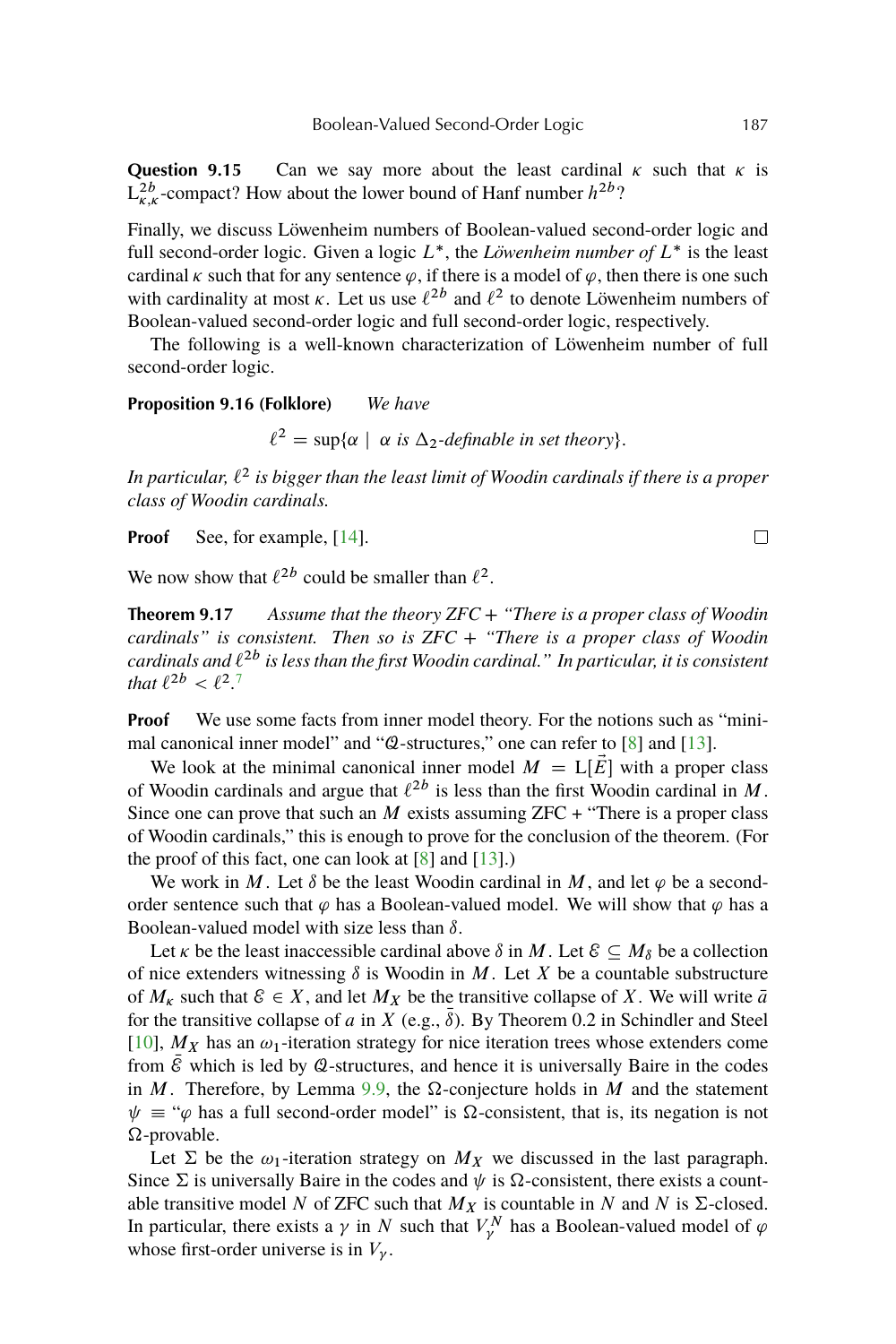<span id="page-20-0"></span>**Question 9.15** Can we say more about the least cardinal  $\kappa$  such that  $\kappa$  is  $L_{\kappa,\kappa}^{2b}$ -compact? How about the lower bound of Hanf number  $h^{2b}$ ?

Finally, we discuss Löwenheim numbers of Boolean-valued second-order logic and full second-order logic. Given a logic  $L^*$ , the *Löwenheim number of*  $L^*$  is the least cardinal  $\kappa$  such that for any sentence  $\varphi$ , if there is a model of  $\varphi$ , then there is one such with cardinality at most  $\kappa$ . Let us use  $\ell^{2b}$  and  $\ell^2$  to denote Löwenheim numbers of Boolean-valued second-order logic and full second-order logic, respectively.

The following is a well-known characterization of Löwenheim number of full second-order logic.

**Proposition 9.16 (Folklore)** *We have*

 $\ell^2 = \sup{\alpha \mid \alpha \text{ is } \Delta_2\text{-definable in set theory}}.$ 

In particular,  $\ell^2$  is bigger than the least limit of Woodin cardinals if there is a proper *class of Woodin cardinals.*

**Proof** See, for example, [\[14\]](#page-22-0).

We now show that  $\ell^{2b}$  could be smaller than  $\ell^2$ .

**Theorem 9.17** *Assume that the theory ZFC + "There is a proper class of Woodin cardinals" is consistent. Then so is ZFC + "There is a proper class of Woodin* cardinals and  $\ell^{2b}$  is less than the first Woodin cardinal." In particular, it is consistent *that*  $\ell^{2b} < \ell^2$ .<sup>[7](#page-21-0)</sup>

**Proof** We use some facts from inner model theory. For the notions such as "minimal canonical inner model" and "Q-structures," one can refer to [\[8\]](#page-22-0) and [\[13\]](#page-22-0).

We look at the minimal canonical inner model  $M = L[\bar{E}]$  with a proper class of Woodin cardinals and argue that  $\ell^{2b}$  is less than the first Woodin cardinal in M. Since one can prove that such an M exists assuming  $ZFC +$  "There is a proper class" of Woodin cardinals," this is enough to prove for the conclusion of the theorem. (For the proof of this fact, one can look at  $[8]$  and  $[13]$ .)

We work in M. Let  $\delta$  be the least Woodin cardinal in M, and let  $\varphi$  be a secondorder sentence such that  $\varphi$  has a Boolean-valued model. We will show that  $\varphi$  has a Boolean-valued model with size less than  $\delta$ .

Let *k* be the least inaccessible cardinal above  $\delta$  in M. Let  $\mathcal{E} \subseteq M_{\delta}$  be a collection of nice extenders witnessing  $\delta$  is Woodin in M. Let X be a countable substructure of  $M_K$  such that  $\mathcal{E} \in X$ , and let  $M_X$  be the transitive collapse of X. We will write  $\bar{a}$ for the transitive collapse of a in X (e.g.,  $\bar{\delta}$ ). By Theorem 0.2 in Schindler and Steel [\[10\]](#page-22-0),  $M_X$  has an  $\omega_1$ -iteration strategy for nice iteration trees whose extenders come from  $\mathcal E$  which is led by  $\mathcal Q$ -structures, and hence it is universally Baire in the codes in M. Therefore, by Lemma [9.9,](#page-16-0) the  $\Omega$ -conjecture holds in M and the statement  $\psi = \psi$  has a full second-order model" is  $\Omega$ -consistent, that is, its negation is not  $\Omega$ -provable.

Let  $\Sigma$  be the  $\omega_1$ -iteration strategy on  $M_X$  we discussed in the last paragraph. Since  $\Sigma$  is universally Baire in the codes and  $\psi$  is  $\Omega$ -consistent, there exists a countable transitive model N of ZFC such that  $M_X$  is countable in N and N is  $\Sigma$ -closed. In particular, there exists a  $\gamma$  in N such that  $V_{\gamma}^{N}$  has a Boolean-valued model of  $\varphi$ whose first-order universe is in  $V_{\nu}$ .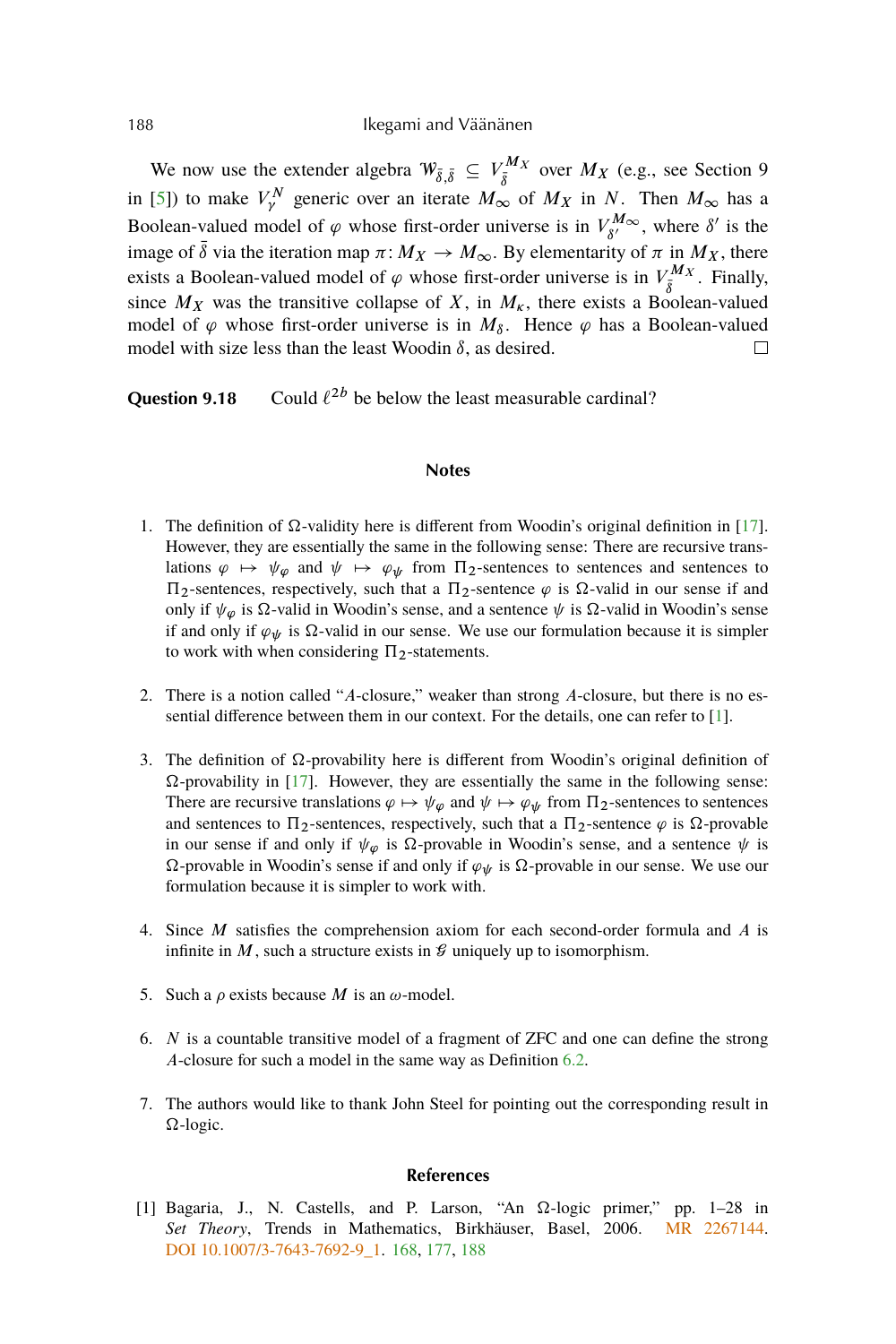We now use the extender algebra  $W_{\bar{\delta},\bar{\delta}} \subseteq V_{\bar{\delta}}^{M_X}$  over  $M_X$  (e.g., see Section 9 in [\[5\]](#page-22-0)) to make  $V^N_\gamma$  generic over an iterate  $M_\infty$  of  $M_X$  in N. Then  $M_\infty$  has a Boolean-valued model of  $\varphi$  whose first-order universe is in  $V_{\beta}^{M_{\infty}}$  $\delta N^M \infty$ , where  $\delta'$  is the image of  $\bar{\delta}$  via the iteration map  $\pi: M_X \to M_\infty$ . By elementarity of  $\pi$  in  $M_X$ , there exists a Boolean-valued model of  $\varphi$  whose first-order universe is in  $V_{\bar{\delta}}^{M_X}$ . Finally, since  $M_X$  was the transitive collapse of X, in  $M_{\kappa}$ , there exists a Boolean-valued model of  $\varphi$  whose first-order universe is in  $M_{\delta}$ . Hence  $\varphi$  has a Boolean-valued model with size less than the least Woodin  $\delta$ , as desired.  $\Box$ 

**Question 9.18** Could  $\ell^{2b}$  be below the least measurable cardinal?

### **Notes**

- 1. The definition of  $\Omega$ -validity here is different from Woodin's original definition in [\[17\]](#page-22-0). However, they are essentially the same in the following sense: There are recursive translations  $\varphi \mapsto \psi_{\varphi}$  and  $\psi \mapsto \varphi_{\psi}$  from  $\Pi_2$ -sentences to sentences and sentences to  $\Pi_2$ -sentences, respectively, such that a  $\Pi_2$ -sentence  $\varphi$  is  $\Omega$ -valid in our sense if and only if  $\psi_{\varphi}$  is  $\Omega$ -valid in Woodin's sense, and a sentence  $\psi$  is  $\Omega$ -valid in Woodin's sense if and only if  $\varphi_w$  is  $\Omega$ -valid in our sense. We use our formulation because it is simpler to work with when considering  $\Pi_2$ -statements.
- 2. There is a notion called "A-closure," weaker than strong A-closure, but there is no essential difference between them in our context. For the details, one can refer to [1].
- 3. The definition of  $\Omega$ -provability here is different from Woodin's original definition of  $\Omega$ -provability in [\[17\]](#page-22-0). However, they are essentially the same in the following sense: There are recursive translations  $\varphi \mapsto \psi_{\varphi}$  and  $\psi \mapsto \varphi_{\psi}$  from  $\Pi_2$ -sentences to sentences and sentences to  $\Pi_2$ -sentences, respectively, such that a  $\Pi_2$ -sentence  $\varphi$  is  $\Omega$ -provable in our sense if and only if  $\psi_{\varphi}$  is  $\Omega$ -provable in Woodin's sense, and a sentence  $\psi$  is  $\Omega$ -provable in Woodin's sense if and only if  $\varphi_{\psi}$  is  $\Omega$ -provable in our sense. We use our formulation because it is simpler to work with.
- 4. Since M satisfies the comprehension axiom for each second-order formula and A is infinite in  $M$ , such a structure exists in  $\mathcal G$  uniquely up to isomorphism.
- 5. Such a  $\rho$  exists because *M* is an  $\omega$ -model.
- 6.  $N$  is a countable transitive model of a fragment of ZFC and one can define the strong A-closure for such a model in the same way as Definition [6.2.](#page-9-0)
- 7. The authors would like to thank John Steel for pointing out the corresponding result in  $\Omega$ -logic.

#### **References**

[1] Bagaria, J., N. Castells, and P. Larson, "An  $\Omega$ -logic primer," pp. 1-28 in *Set Theory*, Trends in Mathematics, Birkhäuser, Basel, 2006. [MR 2267144.](http://www.ams.org/mathscinet-getitem?mr=2267144) DOI 10.1007/3-7643-7692-9 1. [168,](#page-1-0) [177,](#page-10-0) 188

<span id="page-21-0"></span>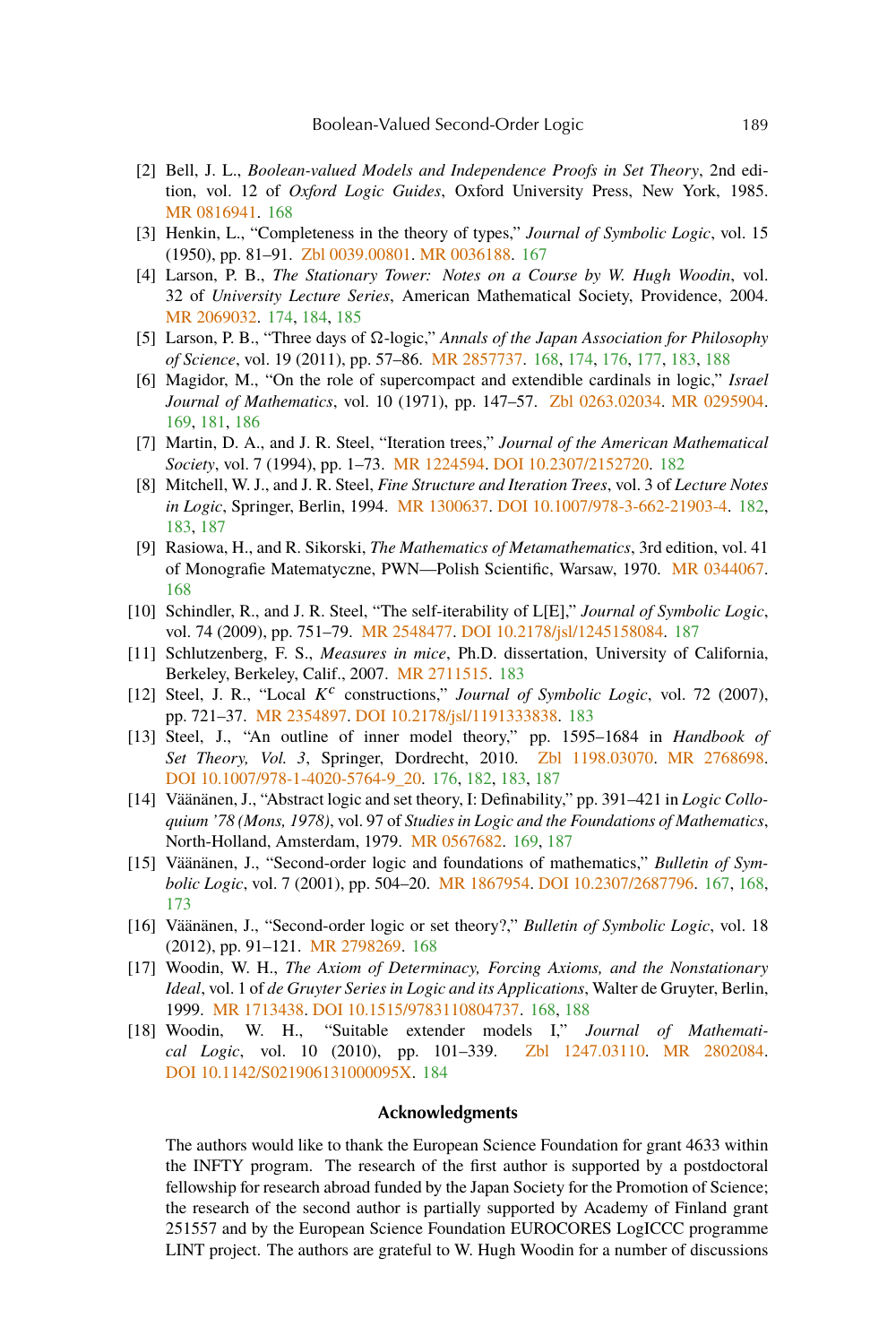- <span id="page-22-0"></span>[2] Bell, J. L., *Boolean-valued Models and Independence Proofs in Set Theory*, 2nd edition, vol. 12 of *Oxford Logic Guides*, Oxford University Press, New York, 1985. [MR 0816941.](http://www.ams.org/mathscinet-getitem?mr=0816941) [168](#page-1-0)
- [3] Henkin, L., "Completeness in the theory of types," *Journal of Symbolic Logic*, vol. 15 (1950), pp. 81–91. [Zbl 0039.00801.](http://www.emis.de/cgi-bin/MATH-item?0039.00801) [MR 0036188.](http://www.ams.org/mathscinet-getitem?mr=0036188) [167](#page-0-0)
- [4] Larson, P. B., *The Stationary Tower: Notes on a Course by W. Hugh Woodin*, vol. 32 of *University Lecture Series*, American Mathematical Society, Providence, 2004. [MR 2069032.](http://www.ams.org/mathscinet-getitem?mr=2069032) [174,](#page-7-0) [184,](#page-17-0) [185](#page-18-0)
- [5] Larson, P. B., "Three days of Ω-logic," *Annals of the Japan Association for Philosophy of Science*, vol. 19 (2011), pp. 57–86. [MR 2857737.](http://www.ams.org/mathscinet-getitem?mr=2857737) [168,](#page-1-0) [174,](#page-7-0) [176,](#page-9-0) [177,](#page-10-0) [183,](#page-16-0) [188](#page-21-0)
- [6] Magidor, M., "On the role of supercompact and extendible cardinals in logic," *Israel Journal of Mathematics*, vol. 10 (1971), pp. 147–57. [Zbl 0263.02034.](http://www.emis.de/cgi-bin/MATH-item?0263.02034) [MR 0295904.](http://www.ams.org/mathscinet-getitem?mr=0295904) [169,](#page-2-0) [181,](#page-14-0) [186](#page-19-0)
- [7] Martin, D. A., and J. R. Steel, "Iteration trees," *Journal of the American Mathematical Society*, vol. 7 (1994), pp. 1–73. [MR 1224594.](http://www.ams.org/mathscinet-getitem?mr=1224594) [DOI 10.2307/2152720.](http://dx.doi.org/10.2307/2152720) [182](#page-15-0)
- [8] Mitchell, W. J., and J. R. Steel, *Fine Structure and Iteration Trees*, vol. 3 of *Lecture Notes in Logic*, Springer, Berlin, 1994. [MR 1300637.](http://www.ams.org/mathscinet-getitem?mr=1300637) [DOI 10.1007/978-3-662-21903-4.](http://dx.doi.org/10.1007/978-3-662-21903-4) [182,](#page-15-0) [183,](#page-16-0) [187](#page-20-0)
- [9] Rasiowa, H., and R. Sikorski, *The Mathematics of Metamathematics*, 3rd edition, vol. 41 of Monografie Matematyczne, PWN—Polish Scientific, Warsaw, 1970. [MR 0344067.](http://www.ams.org/mathscinet-getitem?mr=0344067) [168](#page-1-0)
- [10] Schindler, R., and J. R. Steel, "The self-iterability of L[E]," *Journal of Symbolic Logic*, vol. 74 (2009), pp. 751–79. [MR 2548477.](http://www.ams.org/mathscinet-getitem?mr=2548477) [DOI 10.2178/jsl/1245158084.](http://dx.doi.org/10.2178/jsl/1245158084) [187](#page-20-0)
- [11] Schlutzenberg, F. S., *Measures in mice*, Ph.D. dissertation, University of California, Berkeley, Berkeley, Calif., 2007. [MR 2711515.](http://www.ams.org/mathscinet-getitem?mr=2711515) [183](#page-16-0)
- [12] Steel, J. R., "Local  $K^c$  constructions," *Journal of Symbolic Logic*, vol. 72 (2007), pp. 721–37. [MR 2354897.](http://www.ams.org/mathscinet-getitem?mr=2354897) [DOI 10.2178/jsl/1191333838.](http://dx.doi.org/10.2178/jsl/1191333838) [183](#page-16-0)
- [13] Steel, J., "An outline of inner model theory," pp. 1595–1684 in *Handbook of Set Theory, Vol. 3*, Springer, Dordrecht, 2010. [Zbl 1198.03070.](http://www.emis.de/cgi-bin/MATH-item?1198.03070) [MR 2768698.](http://www.ams.org/mathscinet-getitem?mr=2768698) [DOI 10.1007/978-1-4020-5764-9\\_20.](http://dx.doi.org/10.1007/978-1-4020-5764-9_20) [176,](#page-9-0) [182,](#page-15-0) [183,](#page-16-0) [187](#page-20-0)
- [14] Väänänen, J., "Abstract logic and set theory, I: Definability," pp. 391–421 in *Logic Colloquium '78 (Mons, 1978)*, vol. 97 of *Studies in Logic and the Foundations of Mathematics*, North-Holland, Amsterdam, 1979. [MR 0567682.](http://www.ams.org/mathscinet-getitem?mr=0567682) [169,](#page-2-0) [187](#page-20-0)
- [15] Väänänen, J., "Second-order logic and foundations of mathematics," *Bulletin of Symbolic Logic*, vol. 7 (2001), pp. 504–20. [MR 1867954.](http://www.ams.org/mathscinet-getitem?mr=1867954) [DOI 10.2307/2687796.](http://dx.doi.org/10.2307/2687796) [167,](#page-0-0) [168,](#page-1-0) [173](#page-6-0)
- [16] Väänänen, J., "Second-order logic or set theory?," *Bulletin of Symbolic Logic*, vol. 18 (2012), pp. 91–121. [MR 2798269.](http://www.ams.org/mathscinet-getitem?mr=2798269) [168](#page-1-0)
- [17] Woodin, W. H., *The Axiom of Determinacy, Forcing Axioms, and the Nonstationary Ideal*, vol. 1 of *de Gruyter Series in Logic and its Applications*, Walter de Gruyter, Berlin, 1999. [MR 1713438.](http://www.ams.org/mathscinet-getitem?mr=1713438) [DOI 10.1515/9783110804737.](http://dx.doi.org/10.1515/9783110804737) [168,](#page-1-0) [188](#page-21-0)
- [18] Woodin, W. H., "Suitable extender models I," *Journal of Mathematical Logic*, vol. 10 (2010), pp. 101–339. [Zbl 1247.03110.](http://www.emis.de/cgi-bin/MATH-item?1247.03110) [MR 2802084.](http://www.ams.org/mathscinet-getitem?mr=2802084) [DOI 10.1142/S021906131000095X.](http://dx.doi.org/10.1142/S021906131000095X) [184](#page-17-0)

## **Acknowledgments**

The authors would like to thank the European Science Foundation for grant 4633 within the INFTY program. The research of the first author is supported by a postdoctoral fellowship for research abroad funded by the Japan Society for the Promotion of Science; the research of the second author is partially supported by Academy of Finland grant 251557 and by the European Science Foundation EUROCORES LogICCC programme LINT project. The authors are grateful to W. Hugh Woodin for a number of discussions